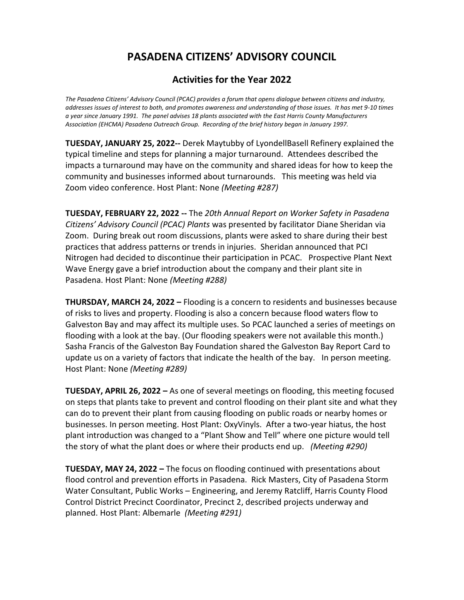## **Activities for the Year 2022**

*The Pasadena Citizens' Advisory Council (PCAC) provides a forum that opens dialogue between citizens and industry, addresses issues of interest to both, and promotes awareness and understanding of those issues. It has met 9-10 times a year since January 1991. The panel advises 18 plants associated with the East Harris County Manufacturers Association (EHCMA) Pasadena Outreach Group. Recording of the brief history began in January 1997.* 

**TUESDAY, JANUARY 25, 2022--** Derek Maytubby of LyondellBasell Refinery explained the typical timeline and steps for planning a major turnaround. Attendees described the impacts a turnaround may have on the community and shared ideas for how to keep the community and businesses informed about turnarounds. This meeting was held via Zoom video conference. Host Plant: None *(Meeting #287)*

**TUESDAY, FEBRUARY 22, 2022 --** The *20th Annual Report on Worker Safety in Pasadena Citizens' Advisory Council (PCAC) Plants* was presented by facilitator Diane Sheridan via Zoom. During break out room discussions, plants were asked to share during their best practices that address patterns or trends in injuries. Sheridan announced that PCI Nitrogen had decided to discontinue their participation in PCAC. Prospective Plant Next Wave Energy gave a brief introduction about the company and their plant site in Pasadena. Host Plant: None *(Meeting #288)*

**THURSDAY, MARCH 24, 2022 –** Flooding is a concern to residents and businesses because of risks to lives and property. Flooding is also a concern because flood waters flow to Galveston Bay and may affect its multiple uses. So PCAC launched a series of meetings on flooding with a look at the bay. (Our flooding speakers were not available this month.) Sasha Francis of the Galveston Bay Foundation shared the Galveston Bay Report Card to update us on a variety of factors that indicate the health of the bay. In person meeting. Host Plant: None *(Meeting #289)*

**TUESDAY, APRIL 26, 2022 –** As one of several meetings on flooding, this meeting focused on steps that plants take to prevent and control flooding on their plant site and what they can do to prevent their plant from causing flooding on public roads or nearby homes or businesses. In person meeting. Host Plant: OxyVinyls. After a two-year hiatus, the host plant introduction was changed to a "Plant Show and Tell" where one picture would tell the story of what the plant does or where their products end up. *(Meeting #290)*

**TUESDAY, MAY 24, 2022 –** The focus on flooding continued with presentations about flood control and prevention efforts in Pasadena. Rick Masters, City of Pasadena Storm Water Consultant, Public Works – Engineering, and Jeremy Ratcliff, Harris County Flood Control District Precinct Coordinator, Precinct 2, described projects underway and planned. Host Plant: Albemarle *(Meeting #291)*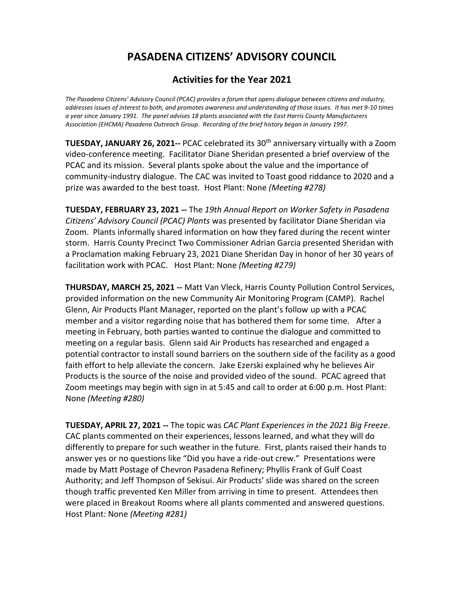## **Activities for the Year 2021**

*The Pasadena Citizens' Advisory Council (PCAC) provides a forum that opens dialogue between citizens and industry, addresses issues of interest to both, and promotes awareness and understanding of those issues. It has met 9-10 times a year since January 1991. The panel advises 18 plants associated with the East Harris County Manufacturers Association (EHCMA) Pasadena Outreach Group. Recording of the brief history began in January 1997.* 

**TUESDAY, JANUARY 26, 2021--** PCAC celebrated its 30<sup>th</sup> anniversary virtually with a Zoom video-conference meeting. Facilitator Diane Sheridan presented a brief overview of the PCAC and its mission. Several plants spoke about the value and the importance of community-industry dialogue. The CAC was invited to Toast good riddance to 2020 and a prize was awarded to the best toast. Host Plant: None *(Meeting #278)*

**TUESDAY, FEBRUARY 23, 2021 --** The *19th Annual Report on Worker Safety in Pasadena Citizens' Advisory Council (PCAC) Plants* was presented by facilitator Diane Sheridan via Zoom. Plants informally shared information on how they fared during the recent winter storm. Harris County Precinct Two Commissioner Adrian Garcia presented Sheridan with a Proclamation making February 23, 2021 Diane Sheridan Day in honor of her 30 years of facilitation work with PCAC. Host Plant: None *(Meeting #279)*

**THURSDAY, MARCH 25, 2021 --** Matt Van Vleck, Harris County Pollution Control Services, provided information on the new Community Air Monitoring Program (CAMP). Rachel Glenn, Air Products Plant Manager, reported on the plant's follow up with a PCAC member and a visitor regarding noise that has bothered them for some time. After a meeting in February, both parties wanted to continue the dialogue and committed to meeting on a regular basis. Glenn said Air Products has researched and engaged a potential contractor to install sound barriers on the southern side of the facility as a good faith effort to help alleviate the concern. Jake Ezerski explained why he believes Air Products is the source of the noise and provided video of the sound. PCAC agreed that Zoom meetings may begin with sign in at 5:45 and call to order at 6:00 p.m. Host Plant: None *(Meeting #280)*

**TUESDAY, APRIL 27, 2021 --** The topic was *CAC Plant Experiences in the 2021 Big Freeze*. CAC plants commented on their experiences, lessons learned, and what they will do differently to prepare for such weather in the future. First, plants raised their hands to answer yes or no questions like "Did you have a ride-out crew." Presentations were made by Matt Postage of Chevron Pasadena Refinery; Phyllis Frank of Gulf Coast Authority; and Jeff Thompson of Sekisui. Air Products' slide was shared on the screen though traffic prevented Ken Miller from arriving in time to present. Attendees then were placed in Breakout Rooms where all plants commented and answered questions. Host Plant: None *(Meeting #281)*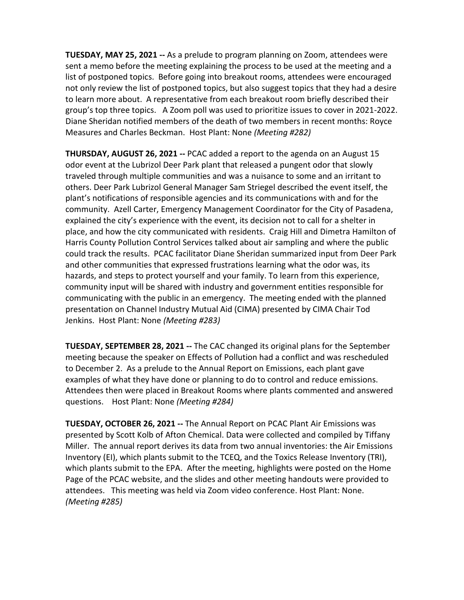**TUESDAY, MAY 25, 2021 --** As a prelude to program planning on Zoom, attendees were sent a memo before the meeting explaining the process to be used at the meeting and a list of postponed topics. Before going into breakout rooms, attendees were encouraged not only review the list of postponed topics, but also suggest topics that they had a desire to learn more about. A representative from each breakout room briefly described their group's top three topics. A Zoom poll was used to prioritize issues to cover in 2021-2022. Diane Sheridan notified members of the death of two members in recent months: Royce Measures and Charles Beckman. Host Plant: None *(Meeting #282)*

**THURSDAY, AUGUST 26, 2021 --** PCAC added a report to the agenda on an August 15 odor event at the Lubrizol Deer Park plant that released a pungent odor that slowly traveled through multiple communities and was a nuisance to some and an irritant to others. Deer Park Lubrizol General Manager Sam Striegel described the event itself, the plant's notifications of responsible agencies and its communications with and for the community. Azell Carter, Emergency Management Coordinator for the City of Pasadena, explained the city's experience with the event, its decision not to call for a shelter in place, and how the city communicated with residents. Craig Hill and Dimetra Hamilton of Harris County Pollution Control Services talked about air sampling and where the public could track the results. PCAC facilitator Diane Sheridan summarized input from Deer Park and other communities that expressed frustrations learning what the odor was, its hazards, and steps to protect yourself and your family. To learn from this experience, community input will be shared with industry and government entities responsible for communicating with the public in an emergency. The meeting ended with the planned presentation on Channel Industry Mutual Aid (CIMA) presented by CIMA Chair Tod Jenkins. Host Plant: None *(Meeting #283)*

**TUESDAY, SEPTEMBER 28, 2021 --** The CAC changed its original plans for the September meeting because the speaker on Effects of Pollution had a conflict and was rescheduled to December 2. As a prelude to the Annual Report on Emissions, each plant gave examples of what they have done or planning to do to control and reduce emissions. Attendees then were placed in Breakout Rooms where plants commented and answered questions. Host Plant: None *(Meeting #284)*

**TUESDAY, OCTOBER 26, 2021 --** The Annual Report on PCAC Plant Air Emissions was presented by Scott Kolb of Afton Chemical. Data were collected and compiled by Tiffany Miller. The annual report derives its data from two annual inventories: the Air Emissions Inventory (EI), which plants submit to the TCEQ, and the Toxics Release Inventory (TRI), which plants submit to the EPA. After the meeting, highlights were posted on the Home Page of the PCAC website, and the slides and other meeting handouts were provided to attendees. This meeting was held via Zoom video conference. Host Plant: None. *(Meeting #285)*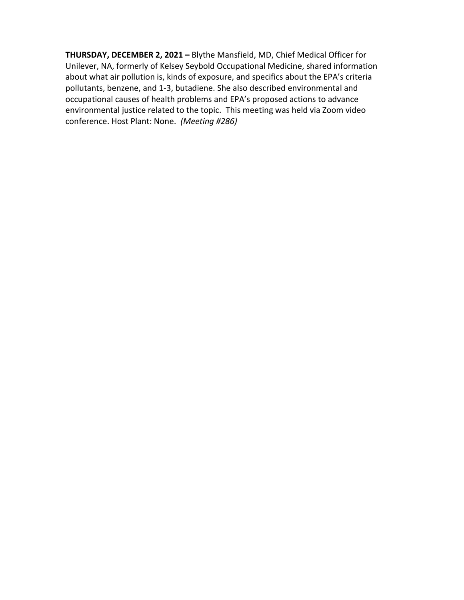**THURSDAY, DECEMBER 2, 2021 –** Blythe Mansfield, MD, Chief Medical Officer for Unilever, NA, formerly of Kelsey Seybold Occupational Medicine, shared information about what air pollution is, kinds of exposure, and specifics about the EPA's criteria pollutants, benzene, and 1-3, butadiene. She also described environmental and occupational causes of health problems and EPA's proposed actions to advance environmental justice related to the topic. This meeting was held via Zoom video conference. Host Plant: None. *(Meeting #286)*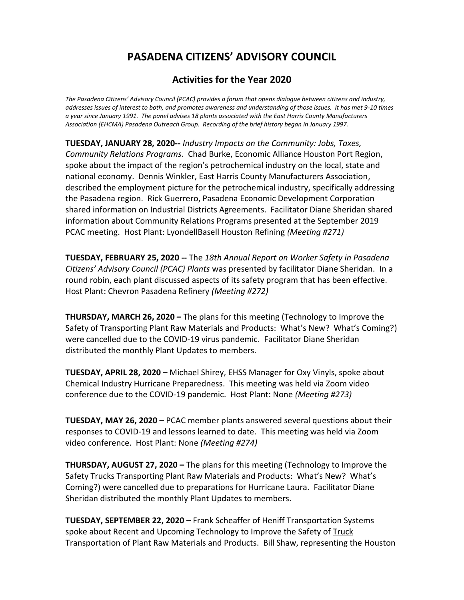## **Activities for the Year 2020**

*The Pasadena Citizens' Advisory Council (PCAC) provides a forum that opens dialogue between citizens and industry, addresses issues of interest to both, and promotes awareness and understanding of those issues. It has met 9-10 times a year since January 1991. The panel advises 18 plants associated with the East Harris County Manufacturers Association (EHCMA) Pasadena Outreach Group. Recording of the brief history began in January 1997.* 

**TUESDAY, JANUARY 28, 2020--** *Industry Impacts on the Community: Jobs, Taxes, Community Relations Programs*. Chad Burke, Economic Alliance Houston Port Region, spoke about the impact of the region's petrochemical industry on the local, state and national economy. Dennis Winkler, East Harris County Manufacturers Association, described the employment picture for the petrochemical industry, specifically addressing the Pasadena region. Rick Guerrero, Pasadena Economic Development Corporation shared information on Industrial Districts Agreements. Facilitator Diane Sheridan shared information about Community Relations Programs presented at the September 2019 PCAC meeting. Host Plant: LyondellBasell Houston Refining *(Meeting #271)*

**TUESDAY, FEBRUARY 25, 2020 --** The *18th Annual Report on Worker Safety in Pasadena Citizens' Advisory Council (PCAC) Plants* was presented by facilitator Diane Sheridan. In a round robin, each plant discussed aspects of its safety program that has been effective. Host Plant: Chevron Pasadena Refinery *(Meeting #272)*

**THURSDAY, MARCH 26, 2020 –** The plans for this meeting (Technology to Improve the Safety of Transporting Plant Raw Materials and Products: What's New? What's Coming?) were cancelled due to the COVID-19 virus pandemic. Facilitator Diane Sheridan distributed the monthly Plant Updates to members.

**TUESDAY, APRIL 28, 2020 –** Michael Shirey, EHSS Manager for Oxy Vinyls, spoke about Chemical Industry Hurricane Preparedness. This meeting was held via Zoom video conference due to the COVID-19 pandemic. Host Plant: None *(Meeting #273)*

**TUESDAY, MAY 26, 2020 –** PCAC member plants answered several questions about their responses to COVID-19 and lessons learned to date. This meeting was held via Zoom video conference. Host Plant: None *(Meeting #274)*

**THURSDAY, AUGUST 27, 2020 –** The plans for this meeting (Technology to Improve the Safety Trucks Transporting Plant Raw Materials and Products: What's New? What's Coming?) were cancelled due to preparations for Hurricane Laura. Facilitator Diane Sheridan distributed the monthly Plant Updates to members.

**TUESDAY, SEPTEMBER 22, 2020 –** Frank Scheaffer of Heniff Transportation Systems spoke about Recent and Upcoming Technology to Improve the Safety of Truck Transportation of Plant Raw Materials and Products. Bill Shaw, representing the Houston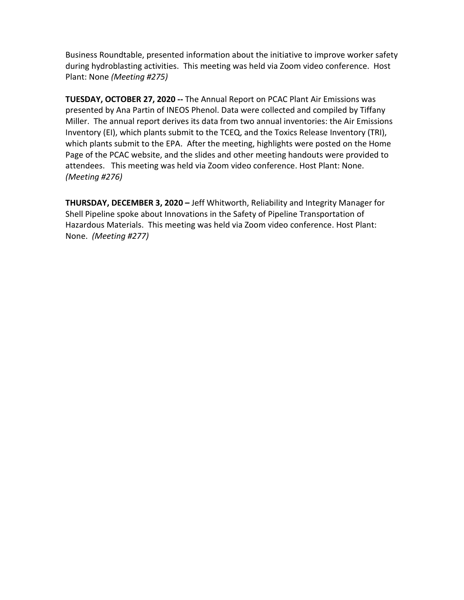Business Roundtable, presented information about the initiative to improve worker safety during hydroblasting activities. This meeting was held via Zoom video conference. Host Plant: None *(Meeting #275)*

**TUESDAY, OCTOBER 27, 2020 --** The Annual Report on PCAC Plant Air Emissions was presented by Ana Partin of INEOS Phenol. Data were collected and compiled by Tiffany Miller. The annual report derives its data from two annual inventories: the Air Emissions Inventory (EI), which plants submit to the TCEQ, and the Toxics Release Inventory (TRI), which plants submit to the EPA. After the meeting, highlights were posted on the Home Page of the PCAC website, and the slides and other meeting handouts were provided to attendees. This meeting was held via Zoom video conference. Host Plant: None. *(Meeting #276)*

**THURSDAY, DECEMBER 3, 2020 –** Jeff Whitworth, Reliability and Integrity Manager for Shell Pipeline spoke about Innovations in the Safety of Pipeline Transportation of Hazardous Materials. This meeting was held via Zoom video conference. Host Plant: None. *(Meeting #277)*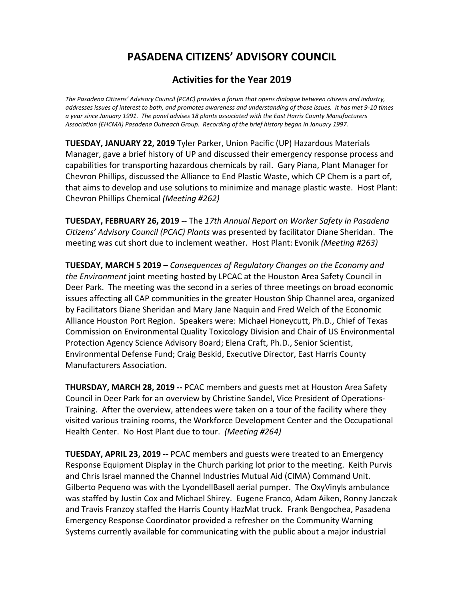## **Activities for the Year 2019**

*The Pasadena Citizens' Advisory Council (PCAC) provides a forum that opens dialogue between citizens and industry, addresses issues of interest to both, and promotes awareness and understanding of those issues. It has met 9-10 times a year since January 1991. The panel advises 18 plants associated with the East Harris County Manufacturers Association (EHCMA) Pasadena Outreach Group. Recording of the brief history began in January 1997.* 

**TUESDAY, JANUARY 22, 2019** Tyler Parker, Union Pacific (UP) Hazardous Materials Manager, gave a brief history of UP and discussed their emergency response process and capabilities for transporting hazardous chemicals by rail.Gary Piana, Plant Manager for Chevron Phillips, discussed the Alliance to End Plastic Waste, which CP Chem is a part of, that aims to develop and use solutions to minimize and manage plastic waste. Host Plant: Chevron Phillips Chemical *(Meeting #262)*

**TUESDAY, FEBRUARY 26, 2019 --** The *17th Annual Report on Worker Safety in Pasadena Citizens' Advisory Council (PCAC) Plants* was presented by facilitator Diane Sheridan. The meeting was cut short due to inclement weather. Host Plant: Evonik *(Meeting #263)*

**TUESDAY, MARCH 5 2019 –** *Consequences of Regulatory Changes on the Economy and the Environment* joint meeting hosted by LPCAC at the Houston Area Safety Council in Deer Park. The meeting was the second in a series of three meetings on broad economic issues affecting all CAP communities in the greater Houston Ship Channel area, organized by Facilitators Diane Sheridan and Mary Jane Naquin and Fred Welch of the Economic Alliance Houston Port Region. Speakers were: Michael Honeycutt, Ph.D., Chief of Texas Commission on Environmental Quality Toxicology Division and Chair of US Environmental Protection Agency Science Advisory Board; Elena Craft, Ph.D., Senior Scientist, Environmental Defense Fund; Craig Beskid, Executive Director, East Harris County Manufacturers Association.

**THURSDAY, MARCH 28, 2019 --** PCAC members and guests met at Houston Area Safety Council in Deer Park for an overview by Christine Sandel, Vice President of Operations-Training. After the overview, attendees were taken on a tour of the facility where they visited various training rooms, the Workforce Development Center and the Occupational Health Center. No Host Plant due to tour. *(Meeting #264)*

**TUESDAY, APRIL 23, 2019 --** PCAC members and guests were treated to an Emergency Response Equipment Display in the Church parking lot prior to the meeting. Keith Purvis and Chris Israel manned the Channel Industries Mutual Aid (CIMA) Command Unit. Gilberto Pequeno was with the LyondellBasell aerial pumper. The OxyVinyls ambulance was staffed by Justin Cox and Michael Shirey. Eugene Franco, Adam Aiken, Ronny Janczak and Travis Franzoy staffed the Harris County HazMat truck. Frank Bengochea, Pasadena Emergency Response Coordinator provided a refresher on the Community Warning Systems currently available for communicating with the public about a major industrial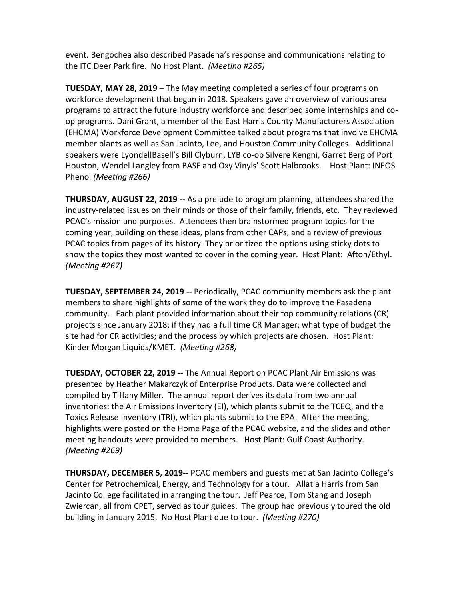event. Bengochea also described Pasadena's response and communications relating to the ITC Deer Park fire. No Host Plant. *(Meeting #265)*

**TUESDAY, MAY 28, 2019 –** The May meeting completed a series of four programs on workforce development that began in 2018. Speakers gave an overview of various area programs to attract the future industry workforce and described some internships and coop programs. Dani Grant, a member of the East Harris County Manufacturers Association (EHCMA) Workforce Development Committee talked about programs that involve EHCMA member plants as well as San Jacinto, Lee, and Houston Community Colleges. Additional speakers were LyondellBasell's Bill Clyburn, LYB co-op Silvere Kengni, Garret Berg of Port Houston, Wendel Langley from BASF and Oxy Vinyls' Scott Halbrooks. Host Plant: INEOS Phenol *(Meeting #266)*

**THURSDAY, AUGUST 22, 2019 --** As a prelude to program planning, attendees shared the industry-related issues on their minds or those of their family, friends, etc. They reviewed PCAC's mission and purposes. Attendees then brainstormed program topics for the coming year, building on these ideas, plans from other CAPs, and a review of previous PCAC topics from pages of its history. They prioritized the options using sticky dots to show the topics they most wanted to cover in the coming year. Host Plant: Afton/Ethyl. *(Meeting #267)*

**TUESDAY, SEPTEMBER 24, 2019 --** Periodically, PCAC community members ask the plant members to share highlights of some of the work they do to improve the Pasadena community. Each plant provided information about their top community relations (CR) projects since January 2018; if they had a full time CR Manager; what type of budget the site had for CR activities; and the process by which projects are chosen. Host Plant: Kinder Morgan Liquids/KMET. *(Meeting #268)*

**TUESDAY, OCTOBER 22, 2019 --** The Annual Report on PCAC Plant Air Emissions was presented by Heather Makarczyk of Enterprise Products. Data were collected and compiled by Tiffany Miller. The annual report derives its data from two annual inventories: the Air Emissions Inventory (EI), which plants submit to the TCEQ, and the Toxics Release Inventory (TRI), which plants submit to the EPA. After the meeting, highlights were posted on the Home Page of the PCAC website, and the slides and other meeting handouts were provided to members. Host Plant: Gulf Coast Authority. *(Meeting #269)*

**THURSDAY, DECEMBER 5, 2019--** PCAC members and guests met at San Jacinto College's Center for Petrochemical, Energy, and Technology for a tour. Allatia Harris from San Jacinto College facilitated in arranging the tour. Jeff Pearce, Tom Stang and Joseph Zwiercan, all from CPET, served as tour guides. The group had previously toured the old building in January 2015. No Host Plant due to tour. *(Meeting #270)*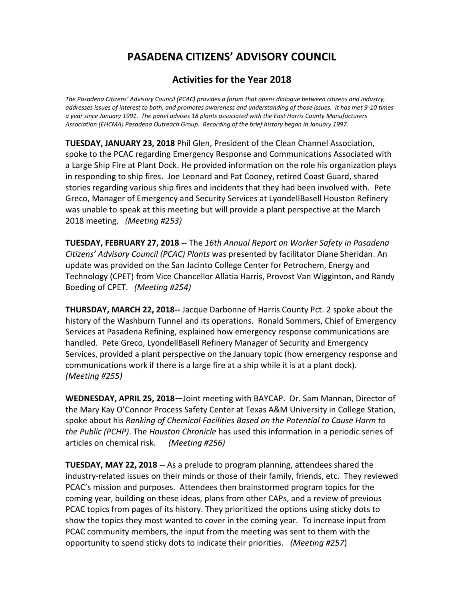## **Activities for the Year 2018**

*The Pasadena Citizens' Advisory Council (PCAC) provides a forum that opens dialogue between citizens and industry, addresses issues of interest to both, and promotes awareness and understanding of those issues. It has met 9-10 times a year since January 1991. The panel advises 18 plants associated with the East Harris County Manufacturers Association (EHCMA) Pasadena Outreach Group. Recording of the brief history began in January 1997.* 

**TUESDAY, JANUARY 23, 2018** Phil Glen, President of the Clean Channel Association, spoke to the PCAC regarding Emergency Response and Communications Associated with a Large Ship Fire at Plant Dock. He provided information on the role his organization plays in responding to ship fires. Joe Leonard and Pat Cooney, retired Coast Guard, shared stories regarding various ship fires and incidents that they had been involved with. Pete Greco, Manager of Emergency and Security Services at LyondellBasell Houston Refinery was unable to speak at this meeting but will provide a plant perspective at the March 2018 meeting. *(Meeting #253)*

**TUESDAY, FEBRUARY 27, 2018 --** The *16th Annual Report on Worker Safety in Pasadena Citizens' Advisory Council (PCAC) Plants* was presented by facilitator Diane Sheridan. An update was provided on the San Jacinto College Center for Petrochem, Energy and Technology (CPET) from Vice Chancellor Allatia Harris, Provost Van Wigginton, and Randy Boeding of CPET. *(Meeting #254)*

**THURSDAY, MARCH 22, 2018--** Jacque Darbonne of Harris County Pct. 2 spoke about the history of the Washburn Tunnel and its operations. Ronald Sommers, Chief of Emergency Services at Pasadena Refining, explained how emergency response communications are handled. Pete Greco, LyondellBasell Refinery Manager of Security and Emergency Services, provided a plant perspective on the January topic (how emergency response and communications work if there is a large fire at a ship while it is at a plant dock). *(Meeting #255)*

**WEDNESDAY, APRIL 25, 2018—**Joint meeting with BAYCAP. Dr. Sam Mannan, Director of the Mary Kay O'Connor Process Safety Center at Texas A&M University in College Station, spoke about his *Ranking of Chemical Facilities Based on the Potential to Cause Harm to the Public (PCHP)*. The *Houston Chronicle* has used this information in a periodic series of articles on chemical risk. *(Meeting #256)*

**TUESDAY, MAY 22, 2018 --** As a prelude to program planning, attendees shared the industry-related issues on their minds or those of their family, friends, etc. They reviewed PCAC's mission and purposes. Attendees then brainstormed program topics for the coming year, building on these ideas, plans from other CAPs, and a review of previous PCAC topics from pages of its history. They prioritized the options using sticky dots to show the topics they most wanted to cover in the coming year. To increase input from PCAC community members, the input from the meeting was sent to them with the opportunity to spend sticky dots to indicate their priorities. *(Meeting #257*)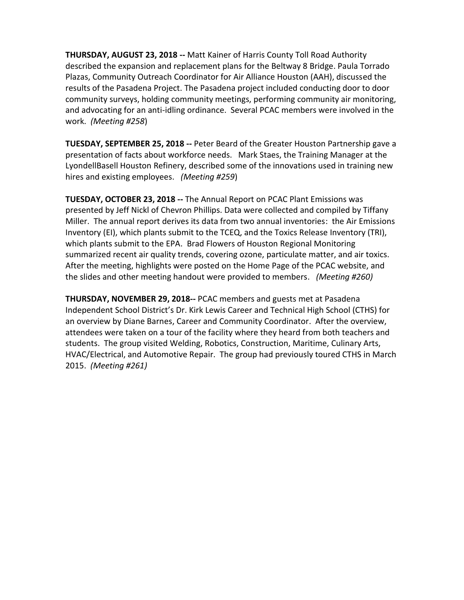**THURSDAY, AUGUST 23, 2018 --** Matt Kainer of Harris County Toll Road Authority described the expansion and replacement plans for the Beltway 8 Bridge. Paula Torrado Plazas, Community Outreach Coordinator for Air Alliance Houston (AAH), discussed the results of the Pasadena Project. The Pasadena project included conducting door to door community surveys, holding community meetings, performing community air monitoring, and advocating for an anti-idling ordinance. Several PCAC members were involved in the work. *(Meeting #258*)

**TUESDAY, SEPTEMBER 25, 2018 --** Peter Beard of the Greater Houston Partnership gave a presentation of facts about workforce needs. Mark Staes, the Training Manager at the LyondellBasell Houston Refinery, described some of the innovations used in training new hires and existing employees. *(Meeting #259*)

**TUESDAY, OCTOBER 23, 2018 --** The Annual Report on PCAC Plant Emissions was presented by Jeff Nickl of Chevron Phillips. Data were collected and compiled by Tiffany Miller. The annual report derives its data from two annual inventories: the Air Emissions Inventory (EI), which plants submit to the TCEQ, and the Toxics Release Inventory (TRI), which plants submit to the EPA. Brad Flowers of Houston Regional Monitoring summarized recent air quality trends, covering ozone, particulate matter, and air toxics. After the meeting, highlights were posted on the Home Page of the PCAC website, and the slides and other meeting handout were provided to members. *(Meeting #260)*

**THURSDAY, NOVEMBER 29, 2018--** PCAC members and guests met at Pasadena Independent School District's Dr. Kirk Lewis Career and Technical High School (CTHS) for an overview by Diane Barnes, Career and Community Coordinator. After the overview, attendees were taken on a tour of the facility where they heard from both teachers and students. The group visited Welding, Robotics, Construction, Maritime, Culinary Arts, HVAC/Electrical, and Automotive Repair. The group had previously toured CTHS in March 2015. *(Meeting #261)*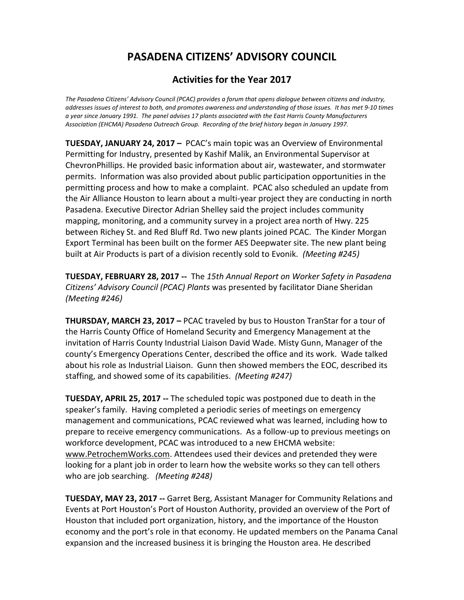## **Activities for the Year 2017**

*The Pasadena Citizens' Advisory Council (PCAC) provides a forum that opens dialogue between citizens and industry, addresses issues of interest to both, and promotes awareness and understanding of those issues. It has met 9-10 times a year since January 1991. The panel advises 17 plants associated with the East Harris County Manufacturers Association (EHCMA) Pasadena Outreach Group. Recording of the brief history began in January 1997.* 

**TUESDAY, JANUARY 24, 2017 –** PCAC's main topic was an Overview of Environmental Permitting for Industry, presented by Kashif Malik, an Environmental Supervisor at ChevronPhillips. He provided basic information about air, wastewater, and stormwater permits. Information was also provided about public participation opportunities in the permitting process and how to make a complaint. PCAC also scheduled an update from the Air Alliance Houston to learn about a multi-year project they are conducting in north Pasadena. Executive Director Adrian Shelley said the project includes community mapping, monitoring, and a community survey in a project area north of Hwy. 225 between Richey St. and Red Bluff Rd. Two new plants joined PCAC. The Kinder Morgan Export Terminal has been built on the former AES Deepwater site. The new plant being built at Air Products is part of a division recently sold to Evonik. *(Meeting #245)*

**TUESDAY, FEBRUARY 28, 2017 --** The *15th Annual Report on Worker Safety in Pasadena Citizens' Advisory Council (PCAC) Plants* was presented by facilitator Diane Sheridan *(Meeting #246)*

**THURSDAY, MARCH 23, 2017 –** PCAC traveled by bus to Houston TranStar for a tour of the Harris County Office of Homeland Security and Emergency Management at the invitation of Harris County Industrial Liaison David Wade. Misty Gunn, Manager of the county's Emergency Operations Center, described the office and its work. Wade talked about his role as Industrial Liaison. Gunn then showed members the EOC, described its staffing, and showed some of its capabilities. *(Meeting #247)*

**TUESDAY, APRIL 25, 2017 --** The scheduled topic was postponed due to death in the speaker's family. Having completed a periodic series of meetings on emergency management and communications, PCAC reviewed what was learned, including how to prepare to receive emergency communications. As a follow-up to previous meetings on workforce development, PCAC was introduced to a new EHCMA website: [www.PetrochemWorks.com.](http://www.petrochemworks.com/) Attendees used their devices and pretended they were looking for a plant job in order to learn how the website works so they can tell others who are job searching. *(Meeting #248)*

**TUESDAY, MAY 23, 2017 --** Garret Berg, Assistant Manager for Community Relations and Events at Port Houston's Port of Houston Authority, provided an overview of the Port of Houston that included port organization, history, and the importance of the Houston economy and the port's role in that economy. He updated members on the Panama Canal expansion and the increased business it is bringing the Houston area. He described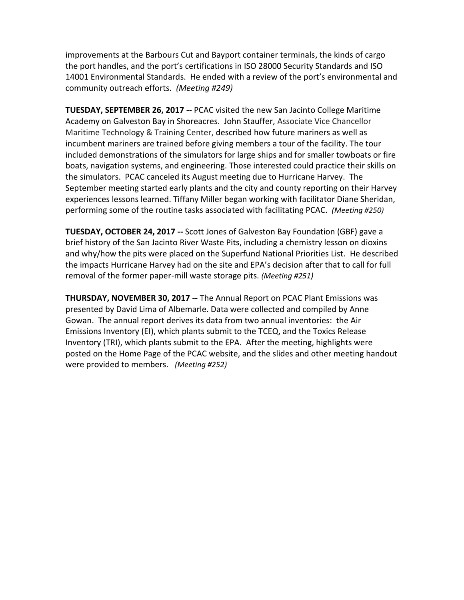improvements at the Barbours Cut and Bayport container terminals, the kinds of cargo the port handles, and the port's certifications in ISO 28000 Security Standards and ISO 14001 Environmental Standards. He ended with a review of the port's environmental and community outreach efforts. *(Meeting #249)*

**TUESDAY, SEPTEMBER 26, 2017 --** PCAC visited the new San Jacinto College Maritime Academy on Galveston Bay in Shoreacres. John Stauffer, Associate Vice Chancellor Maritime Technology & Training Center, described how future mariners as well as incumbent mariners are trained before giving members a tour of the facility. The tour included demonstrations of the simulators for large ships and for smaller towboats or fire boats, navigation systems, and engineering. Those interested could practice their skills on the simulators. PCAC canceled its August meeting due to Hurricane Harvey. The September meeting started early plants and the city and county reporting on their Harvey experiences lessons learned. Tiffany Miller began working with facilitator Diane Sheridan, performing some of the routine tasks associated with facilitating PCAC. *(Meeting #250)*

**TUESDAY, OCTOBER 24, 2017 --** Scott Jones of Galveston Bay Foundation (GBF) gave a brief history of the San Jacinto River Waste Pits, including a chemistry lesson on dioxins and why/how the pits were placed on the Superfund National Priorities List. He described the impacts Hurricane Harvey had on the site and EPA's decision after that to call for full removal of the former paper-mill waste storage pits. *(Meeting #251)*

**THURSDAY, NOVEMBER 30, 2017 --** The Annual Report on PCAC Plant Emissions was presented by David Lima of Albemarle. Data were collected and compiled by Anne Gowan. The annual report derives its data from two annual inventories: the Air Emissions Inventory (EI), which plants submit to the TCEQ, and the Toxics Release Inventory (TRI), which plants submit to the EPA. After the meeting, highlights were posted on the Home Page of the PCAC website, and the slides and other meeting handout were provided to members. *(Meeting #252)*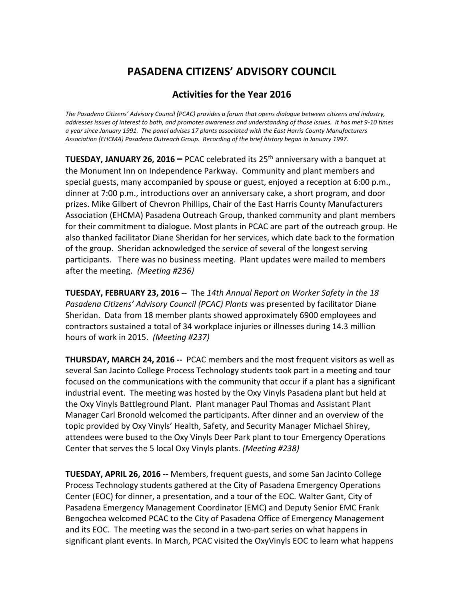### **Activities for the Year 2016**

*The Pasadena Citizens' Advisory Council (PCAC) provides a forum that opens dialogue between citizens and industry, addresses issues of interest to both, and promotes awareness and understanding of those issues. It has met 9-10 times a year since January 1991. The panel advises 17 plants associated with the East Harris County Manufacturers Association (EHCMA) Pasadena Outreach Group. Recording of the brief history began in January 1997.* 

**TUESDAY, JANUARY 26, 2016** – PCAC celebrated its 25<sup>th</sup> anniversary with a banquet at the Monument Inn on Independence Parkway. Community and plant members and special guests, many accompanied by spouse or guest, enjoyed a reception at 6:00 p.m., dinner at 7:00 p.m., introductions over an anniversary cake, a short program, and door prizes. Mike Gilbert of Chevron Phillips, Chair of the East Harris County Manufacturers Association (EHCMA) Pasadena Outreach Group, thanked community and plant members for their commitment to dialogue. Most plants in PCAC are part of the outreach group. He also thanked facilitator Diane Sheridan for her services, which date back to the formation of the group. Sheridan acknowledged the service of several of the longest serving participants. There was no business meeting. Plant updates were mailed to members after the meeting. *(Meeting #236)*

**TUESDAY, FEBRUARY 23, 2016 --** The *14th Annual Report on Worker Safety in the 18 Pasadena Citizens' Advisory Council (PCAC) Plants* was presented by facilitator Diane Sheridan. Data from 18 member plants showed approximately 6900 employees and contractors sustained a total of 34 workplace injuries or illnesses during 14.3 million hours of work in 2015. *(Meeting #237)*

**THURSDAY, MARCH 24, 2016 --** PCAC members and the most frequent visitors as well as several San Jacinto College Process Technology students took part in a meeting and tour focused on the communications with the community that occur if a plant has a significant industrial event. The meeting was hosted by the Oxy Vinyls Pasadena plant but held at the Oxy Vinyls Battleground Plant. Plant manager Paul Thomas and Assistant Plant Manager Carl Bronold welcomed the participants. After dinner and an overview of the topic provided by Oxy Vinyls' Health, Safety, and Security Manager Michael Shirey, attendees were bused to the Oxy Vinyls Deer Park plant to tour Emergency Operations Center that serves the 5 local Oxy Vinyls plants. *(Meeting #238)*

**TUESDAY, APRIL 26, 2016 --** Members, frequent guests, and some San Jacinto College Process Technology students gathered at the City of Pasadena Emergency Operations Center (EOC) for dinner, a presentation, and a tour of the EOC. Walter Gant, City of Pasadena Emergency Management Coordinator (EMC) and Deputy Senior EMC Frank Bengochea welcomed PCAC to the City of Pasadena Office of Emergency Management and its EOC. The meeting was the second in a two-part series on what happens in significant plant events. In March, PCAC visited the OxyVinyls EOC to learn what happens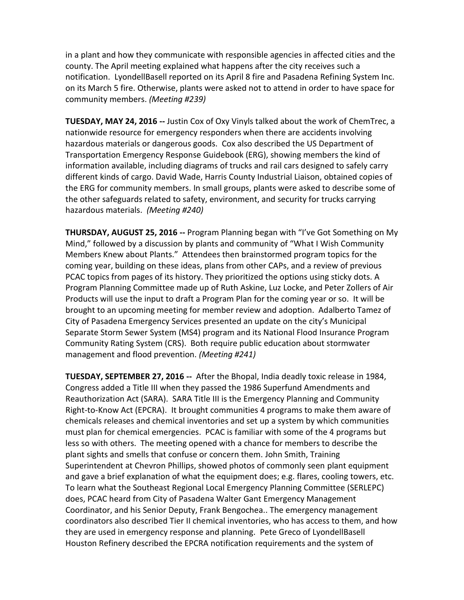in a plant and how they communicate with responsible agencies in affected cities and the county. The April meeting explained what happens after the city receives such a notification. LyondellBasell reported on its April 8 fire and Pasadena Refining System Inc. on its March 5 fire. Otherwise, plants were asked not to attend in order to have space for community members. *(Meeting #239)*

**TUESDAY, MAY 24, 2016 --** Justin Cox of Oxy Vinyls talked about the work of ChemTrec, a nationwide resource for emergency responders when there are accidents involving hazardous materials or dangerous goods. Cox also described the US Department of Transportation Emergency Response Guidebook (ERG), showing members the kind of information available, including diagrams of trucks and rail cars designed to safely carry different kinds of cargo. David Wade, Harris County Industrial Liaison, obtained copies of the ERG for community members. In small groups, plants were asked to describe some of the other safeguards related to safety, environment, and security for trucks carrying hazardous materials. *(Meeting #240)*

**THURSDAY, AUGUST 25, 2016 --** Program Planning began with "I've Got Something on My Mind," followed by a discussion by plants and community of "What I Wish Community Members Knew about Plants." Attendees then brainstormed program topics for the coming year, building on these ideas, plans from other CAPs, and a review of previous PCAC topics from pages of its history. They prioritized the options using sticky dots. A Program Planning Committee made up of Ruth Askine, Luz Locke, and Peter Zollers of Air Products will use the input to draft a Program Plan for the coming year or so. It will be brought to an upcoming meeting for member review and adoption. Adalberto Tamez of City of Pasadena Emergency Services presented an update on the city's Municipal Separate Storm Sewer System (MS4) program and its National Flood Insurance Program Community Rating System (CRS). Both require public education about stormwater management and flood prevention. *(Meeting #241)*

**TUESDAY, SEPTEMBER 27, 2016 --** After the Bhopal, India deadly toxic release in 1984, Congress added a Title III when they passed the 1986 Superfund Amendments and Reauthorization Act (SARA). SARA Title III is the Emergency Planning and Community Right-to-Know Act (EPCRA). It brought communities 4 programs to make them aware of chemicals releases and chemical inventories and set up a system by which communities must plan for chemical emergencies. PCAC is familiar with some of the 4 programs but less so with others. The meeting opened with a chance for members to describe the plant sights and smells that confuse or concern them. John Smith, Training Superintendent at Chevron Phillips, showed photos of commonly seen plant equipment and gave a brief explanation of what the equipment does; e.g. flares, cooling towers, etc. To learn what the Southeast Regional Local Emergency Planning Committee (SERLEPC) does, PCAC heard from City of Pasadena Walter Gant Emergency Management Coordinator, and his Senior Deputy, Frank Bengochea.. The emergency management coordinators also described Tier II chemical inventories, who has access to them, and how they are used in emergency response and planning. Pete Greco of LyondellBasell Houston Refinery described the EPCRA notification requirements and the system of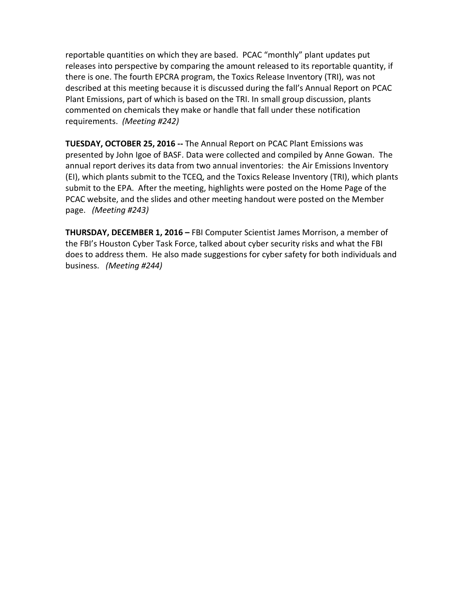reportable quantities on which they are based. PCAC "monthly" plant updates put releases into perspective by comparing the amount released to its reportable quantity, if there is one. The fourth EPCRA program, the Toxics Release Inventory (TRI), was not described at this meeting because it is discussed during the fall's Annual Report on PCAC Plant Emissions, part of which is based on the TRI. In small group discussion, plants commented on chemicals they make or handle that fall under these notification requirements. *(Meeting #242)*

**TUESDAY, OCTOBER 25, 2016 --** The Annual Report on PCAC Plant Emissions was presented by John Igoe of BASF. Data were collected and compiled by Anne Gowan. The annual report derives its data from two annual inventories: the Air Emissions Inventory (EI), which plants submit to the TCEQ, and the Toxics Release Inventory (TRI), which plants submit to the EPA. After the meeting, highlights were posted on the Home Page of the PCAC website, and the slides and other meeting handout were posted on the Member page. *(Meeting #243)*

**THURSDAY, DECEMBER 1, 2016 –** FBI Computer Scientist James Morrison, a member of the FBI's Houston Cyber Task Force, talked about cyber security risks and what the FBI does to address them. He also made suggestions for cyber safety for both individuals and business. *(Meeting #244)*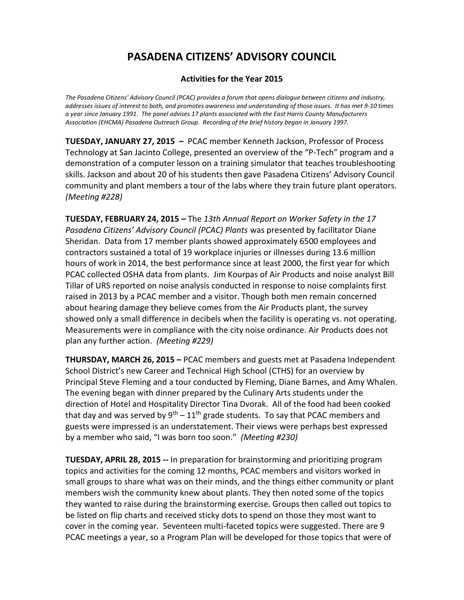### **Activities for the Year 2015**

*The Pasadena Citizens' Advisory Council (PCAC) provides a forum that opens dialogue between citizens and industry, addresses issues of interest to both, and promotes awareness and understanding of those issues. It has met 9-10 times a year since January 1991. The panel advises 17 plants associated with the East Harris County Manufacturers Association (EHCMA) Pasadena Outreach Group. Recording of the brief history began in January 1997.* 

**TUESDAY, JANUARY 27, 2015 –** PCAC member Kenneth Jackson, Professor of Process Technology at San Jacinto College, presented an overview of the "P-Tech" program and a demonstration of a computer lesson on a training simulator that teaches troubleshooting skills. Jackson and about 20 of his students then gave Pasadena Citizens' Advisory Council community and plant members a tour of the labs where they train future plant operators. *(Meeting #228)*

**TUESDAY, FEBRUARY 24, 2015 –** The *13th Annual Report on Worker Safety in the 17 Pasadena Citizens' Advisory Council (PCAC) Plants* was presented by facilitator Diane Sheridan. Data from 17 member plants showed approximately 6500 employees and contractors sustained a total of 19 workplace injuries or illnesses during 13.6 million hours of work in 2014, the best performance since at least 2000, the first year for which PCAC collected OSHA data from plants. Jim Kourpas of Air Products and noise analyst Bill Tillar of URS reported on noise analysis conducted in response to noise complaints first raised in 2013 by a PCAC member and a visitor. Though both men remain concerned about hearing damage they believe comes from the Air Products plant, the survey showed only a small difference in decibels when the facility is operating vs. not operating. Measurements were in compliance with the city noise ordinance. Air Products does not plan any further action. *(Meeting #229)*

**THURSDAY, MARCH 26, 2015 –** PCAC members and guests met at Pasadena Independent School District's new Career and Technical High School (CTHS) for an overview by Principal Steve Fleming and a tour conducted by Fleming, Diane Barnes, and Amy Whalen. The evening began with dinner prepared by the Culinary Arts students under the direction of Hotel and Hospitality Director Tina Dvorak. All of the food had been cooked that day and was served by  $9^{th} - 11^{th}$  grade students. To say that PCAC members and guests were impressed is an understatement. Their views were perhaps best expressed by a member who said, "I was born too soon." *(Meeting #230)*

**TUESDAY, APRIL 28, 2015 --** In preparation for brainstorming and prioritizing program topics and activities for the coming 12 months, PCAC members and visitors worked in small groups to share what was on their minds, and the things either community or plant members wish the community knew about plants. They then noted some of the topics they wanted to raise during the brainstorming exercise. Groups then called out topics to be listed on flip charts and received sticky dots to spend on those they most want to cover in the coming year. Seventeen multi-faceted topics were suggested. There are 9 PCAC meetings a year, so a Program Plan will be developed for those topics that were of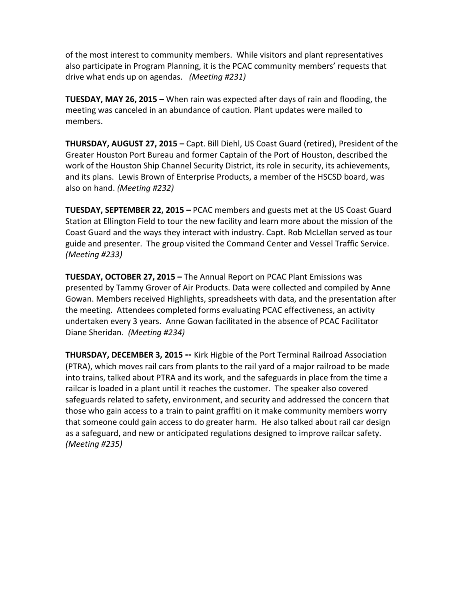of the most interest to community members. While visitors and plant representatives also participate in Program Planning, it is the PCAC community members' requests that drive what ends up on agendas. *(Meeting #231)*

**TUESDAY, MAY 26, 2015 –** When rain was expected after days of rain and flooding, the meeting was canceled in an abundance of caution. Plant updates were mailed to members.

**THURSDAY, AUGUST 27, 2015 –** Capt. Bill Diehl, US Coast Guard (retired), President of the Greater Houston Port Bureau and former Captain of the Port of Houston, described the work of the Houston Ship Channel Security District, its role in security, its achievements, and its plans. Lewis Brown of Enterprise Products, a member of the HSCSD board, was also on hand. *(Meeting #232)*

**TUESDAY, SEPTEMBER 22, 2015 –** PCAC members and guests met at the US Coast Guard Station at Ellington Field to tour the new facility and learn more about the mission of the Coast Guard and the ways they interact with industry. Capt. Rob McLellan served as tour guide and presenter. The group visited the Command Center and Vessel Traffic Service. *(Meeting #233)*

**TUESDAY, OCTOBER 27, 2015 –** The Annual Report on PCAC Plant Emissions was presented by Tammy Grover of Air Products. Data were collected and compiled by Anne Gowan. Members received Highlights, spreadsheets with data, and the presentation after the meeting. Attendees completed forms evaluating PCAC effectiveness, an activity undertaken every 3 years. Anne Gowan facilitated in the absence of PCAC Facilitator Diane Sheridan. *(Meeting #234)*

**THURSDAY, DECEMBER 3, 2015 -- Kirk Higbie of the Port Terminal Railroad Association** (PTRA), which moves rail cars from plants to the rail yard of a major railroad to be made into trains, talked about PTRA and its work, and the safeguards in place from the time a railcar is loaded in a plant until it reaches the customer. The speaker also covered safeguards related to safety, environment, and security and addressed the concern that those who gain access to a train to paint graffiti on it make community members worry that someone could gain access to do greater harm. He also talked about rail car design as a safeguard, and new or anticipated regulations designed to improve railcar safety. *(Meeting #235)*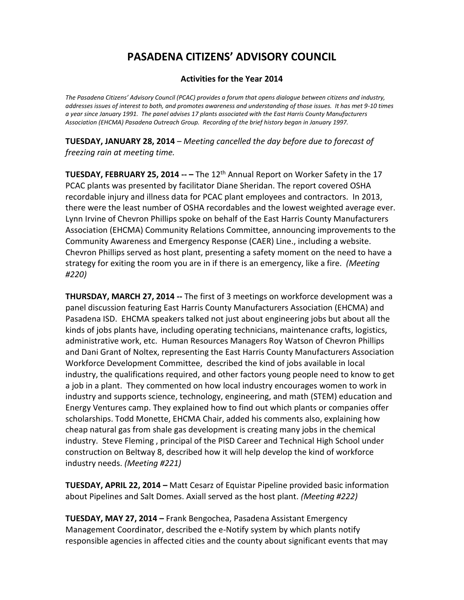### **Activities for the Year 2014**

*The Pasadena Citizens' Advisory Council (PCAC) provides a forum that opens dialogue between citizens and industry, addresses issues of interest to both, and promotes awareness and understanding of those issues. It has met 9-10 times a year since January 1991. The panel advises 17 plants associated with the East Harris County Manufacturers Association (EHCMA) Pasadena Outreach Group. Recording of the brief history began in January 1997.* 

**TUESDAY, JANUARY 28, 2014** – *Meeting cancelled the day before due to forecast of freezing rain at meeting time.*

**TUESDAY, FEBRUARY 25, 2014 -- – The 12<sup>th</sup> Annual Report on Worker Safety in the 17** PCAC plants was presented by facilitator Diane Sheridan. The report covered OSHA recordable injury and illness data for PCAC plant employees and contractors. In 2013, there were the least number of OSHA recordables and the lowest weighted average ever. Lynn Irvine of Chevron Phillips spoke on behalf of the East Harris County Manufacturers Association (EHCMA) Community Relations Committee, announcing improvements to the Community Awareness and Emergency Response (CAER) Line., including a website. Chevron Phillips served as host plant, presenting a safety moment on the need to have a strategy for exiting the room you are in if there is an emergency, like a fire. *(Meeting #220)*

**THURSDAY, MARCH 27, 2014 --** The first of 3 meetings on workforce development was a panel discussion featuring East Harris County Manufacturers Association (EHCMA) and Pasadena ISD. EHCMA speakers talked not just about engineering jobs but about all the kinds of jobs plants have, including operating technicians, maintenance crafts, logistics, administrative work, etc. Human Resources Managers Roy Watson of Chevron Phillips and Dani Grant of Noltex, representing the East Harris County Manufacturers Association Workforce Development Committee, described the kind of jobs available in local industry, the qualifications required, and other factors young people need to know to get a job in a plant. They commented on how local industry encourages women to work in industry and supports science, technology, engineering, and math (STEM) education and Energy Ventures camp. They explained how to find out which plants or companies offer scholarships. Todd Monette, EHCMA Chair, added his comments also, explaining how cheap natural gas from shale gas development is creating many jobs in the chemical industry. Steve Fleming , principal of the PISD Career and Technical High School under construction on Beltway 8, described how it will help develop the kind of workforce industry needs. *(Meeting #221)*

**TUESDAY, APRIL 22, 2014 –** Matt Cesarz of Equistar Pipeline provided basic information about Pipelines and Salt Domes. Axiall served as the host plant. *(Meeting #222)*

**TUESDAY, MAY 27, 2014 –** Frank Bengochea, Pasadena Assistant Emergency Management Coordinator, described the e-Notify system by which plants notify responsible agencies in affected cities and the county about significant events that may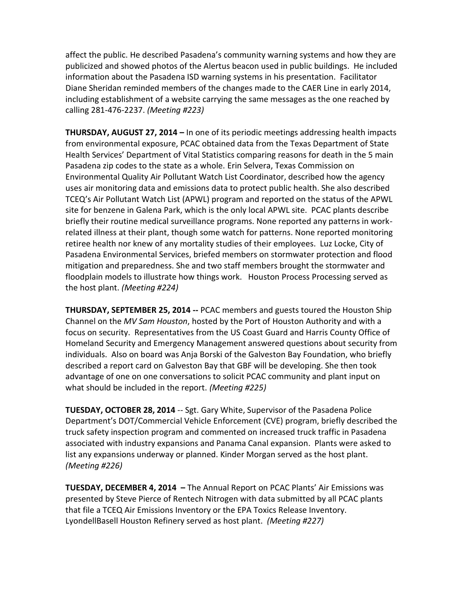affect the public. He described Pasadena's community warning systems and how they are publicized and showed photos of the Alertus beacon used in public buildings. He included information about the Pasadena ISD warning systems in his presentation. Facilitator Diane Sheridan reminded members of the changes made to the CAER Line in early 2014, including establishment of a website carrying the same messages as the one reached by calling 281-476-2237. *(Meeting #223)*

**THURSDAY, AUGUST 27, 2014 –** In one of its periodic meetings addressing health impacts from environmental exposure, PCAC obtained data from the Texas Department of State Health Services' Department of Vital Statistics comparing reasons for death in the 5 main Pasadena zip codes to the state as a whole. Erin Selvera, Texas Commission on Environmental Quality Air Pollutant Watch List Coordinator, described how the agency uses air monitoring data and emissions data to protect public health. She also described TCEQ's Air Pollutant Watch List (APWL) program and reported on the status of the APWL site for benzene in Galena Park, which is the only local APWL site. PCAC plants describe briefly their routine medical surveillance programs. None reported any patterns in workrelated illness at their plant, though some watch for patterns. None reported monitoring retiree health nor knew of any mortality studies of their employees. Luz Locke, City of Pasadena Environmental Services, briefed members on stormwater protection and flood mitigation and preparedness. She and two staff members brought the stormwater and floodplain models to illustrate how things work. Houston Process Processing served as the host plant. *(Meeting #224)*

**THURSDAY, SEPTEMBER 25, 2014 --** PCAC members and guests toured the Houston Ship Channel on the *MV Sam Houston*, hosted by the Port of Houston Authority and with a focus on security. Representatives from the US Coast Guard and Harris County Office of Homeland Security and Emergency Management answered questions about security from individuals. Also on board was Anja Borski of the Galveston Bay Foundation, who briefly described a report card on Galveston Bay that GBF will be developing. She then took advantage of one on one conversations to solicit PCAC community and plant input on what should be included in the report. *(Meeting #225)*

**TUESDAY, OCTOBER 28, 2014** -- Sgt. Gary White, Supervisor of the Pasadena Police Department's DOT/Commercial Vehicle Enforcement (CVE) program, briefly described the truck safety inspection program and commented on increased truck traffic in Pasadena associated with industry expansions and Panama Canal expansion. Plants were asked to list any expansions underway or planned. Kinder Morgan served as the host plant. *(Meeting #226)*

**TUESDAY, DECEMBER 4, 2014 –** The Annual Report on PCAC Plants' Air Emissions was presented by Steve Pierce of Rentech Nitrogen with data submitted by all PCAC plants that file a TCEQ Air Emissions Inventory or the EPA Toxics Release Inventory. LyondellBasell Houston Refinery served as host plant. *(Meeting #227)*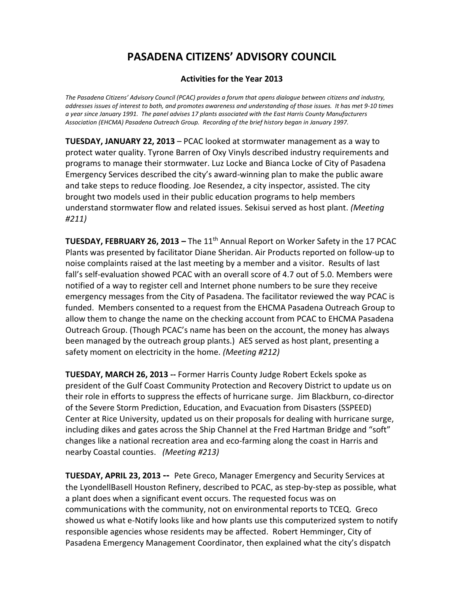### **Activities for the Year 2013**

*The Pasadena Citizens' Advisory Council (PCAC) provides a forum that opens dialogue between citizens and industry, addresses issues of interest to both, and promotes awareness and understanding of those issues. It has met 9-10 times a year since January 1991. The panel advises 17 plants associated with the East Harris County Manufacturers Association (EHCMA) Pasadena Outreach Group. Recording of the brief history began in January 1997.* 

**TUESDAY, JANUARY 22, 2013** – PCAC looked at stormwater management as a way to protect water quality. Tyrone Barren of Oxy Vinyls described industry requirements and programs to manage their stormwater. Luz Locke and Bianca Locke of City of Pasadena Emergency Services described the city's award-winning plan to make the public aware and take steps to reduce flooding. Joe Resendez, a city inspector, assisted. The city brought two models used in their public education programs to help members understand stormwater flow and related issues. Sekisui served as host plant. *(Meeting #211)*

**TUESDAY, FEBRUARY 26, 2013 – The 11<sup>th</sup> Annual Report on Worker Safety in the 17 PCAC** Plants was presented by facilitator Diane Sheridan. Air Products reported on follow-up to noise complaints raised at the last meeting by a member and a visitor. Results of last fall's self-evaluation showed PCAC with an overall score of 4.7 out of 5.0. Members were notified of a way to register cell and Internet phone numbers to be sure they receive emergency messages from the City of Pasadena. The facilitator reviewed the way PCAC is funded. Members consented to a request from the EHCMA Pasadena Outreach Group to allow them to change the name on the checking account from PCAC to EHCMA Pasadena Outreach Group. (Though PCAC's name has been on the account, the money has always been managed by the outreach group plants.) AES served as host plant, presenting a safety moment on electricity in the home. *(Meeting #212)*

**TUESDAY, MARCH 26, 2013 --** Former Harris County Judge Robert Eckels spoke as president of the Gulf Coast Community Protection and Recovery District to update us on their role in efforts to suppress the effects of hurricane surge. Jim Blackburn, co-director of the Severe Storm Prediction, Education, and Evacuation from Disasters (SSPEED) Center at Rice University, updated us on their proposals for dealing with hurricane surge, including dikes and gates across the Ship Channel at the Fred Hartman Bridge and "soft" changes like a national recreation area and eco-farming along the coast in Harris and nearby Coastal counties. *(Meeting #213)*

**TUESDAY, APRIL 23, 2013 --** Pete Greco, Manager Emergency and Security Services at the LyondellBasell Houston Refinery, described to PCAC, as step-by-step as possible, what a plant does when a significant event occurs. The requested focus was on communications with the community, not on environmental reports to TCEQ. Greco showed us what e-Notify looks like and how plants use this computerized system to notify responsible agencies whose residents may be affected. Robert Hemminger, City of Pasadena Emergency Management Coordinator, then explained what the city's dispatch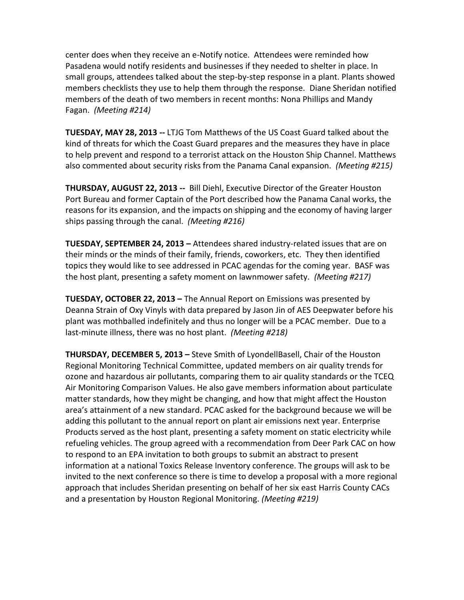center does when they receive an e-Notify notice. Attendees were reminded how Pasadena would notify residents and businesses if they needed to shelter in place. In small groups, attendees talked about the step-by-step response in a plant. Plants showed members checklists they use to help them through the response. Diane Sheridan notified members of the death of two members in recent months: Nona Phillips and Mandy Fagan. *(Meeting #214)*

**TUESDAY, MAY 28, 2013 --** LTJG Tom Matthews of the US Coast Guard talked about the kind of threats for which the Coast Guard prepares and the measures they have in place to help prevent and respond to a terrorist attack on the Houston Ship Channel. Matthews also commented about security risks from the Panama Canal expansion. *(Meeting #215)*

**THURSDAY, AUGUST 22, 2013 --** Bill Diehl, Executive Director of the Greater Houston Port Bureau and former Captain of the Port described how the Panama Canal works, the reasons for its expansion, and the impacts on shipping and the economy of having larger ships passing through the canal. *(Meeting #216)*

**TUESDAY, SEPTEMBER 24, 2013 –** Attendees shared industry-related issues that are on their minds or the minds of their family, friends, coworkers, etc. They then identified topics they would like to see addressed in PCAC agendas for the coming year. BASF was the host plant, presenting a safety moment on lawnmower safety. *(Meeting #217)*

**TUESDAY, OCTOBER 22, 2013 –** The Annual Report on Emissions was presented by Deanna Strain of Oxy Vinyls with data prepared by Jason Jin of AES Deepwater before his plant was mothballed indefinitely and thus no longer will be a PCAC member. Due to a last-minute illness, there was no host plant. *(Meeting #218)*

**THURSDAY, DECEMBER 5, 2013 –** Steve Smith of LyondellBasell, Chair of the Houston Regional Monitoring Technical Committee, updated members on air quality trends for ozone and hazardous air pollutants, comparing them to air quality standards or the TCEQ Air Monitoring Comparison Values. He also gave members information about particulate matter standards, how they might be changing, and how that might affect the Houston area's attainment of a new standard. PCAC asked for the background because we will be adding this pollutant to the annual report on plant air emissions next year. Enterprise Products served as the host plant, presenting a safety moment on static electricity while refueling vehicles. The group agreed with a recommendation from Deer Park CAC on how to respond to an EPA invitation to both groups to submit an abstract to present information at a national Toxics Release Inventory conference. The groups will ask to be invited to the next conference so there is time to develop a proposal with a more regional approach that includes Sheridan presenting on behalf of her six east Harris County CACs and a presentation by Houston Regional Monitoring. *(Meeting #219)*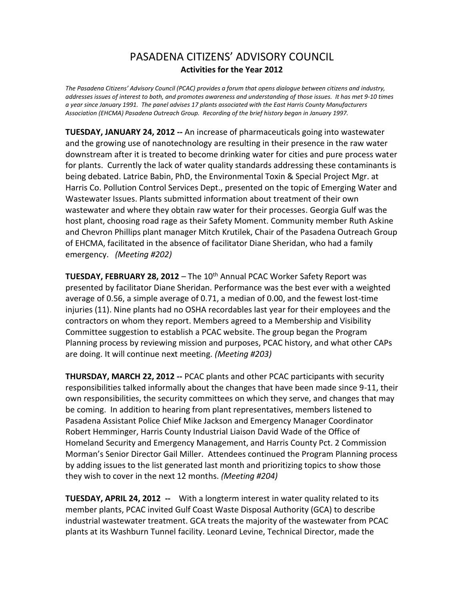## PASADENA CITIZENS' ADVISORY COUNCIL **Activities for the Year 2012**

*The Pasadena Citizens' Advisory Council (PCAC) provides a forum that opens dialogue between citizens and industry, addresses issues of interest to both, and promotes awareness and understanding of those issues. It has met 9-10 times a year since January 1991. The panel advises 17 plants associated with the East Harris County Manufacturers Association (EHCMA) Pasadena Outreach Group. Recording of the brief history began in January 1997.* 

**TUESDAY, JANUARY 24, 2012 --** An increase of pharmaceuticals going into wastewater and the growing use of nanotechnology are resulting in their presence in the raw water downstream after it is treated to become drinking water for cities and pure process water for plants. Currently the lack of water quality standards addressing these contaminants is being debated. Latrice Babin, PhD, the Environmental Toxin & Special Project Mgr. at Harris Co. Pollution Control Services Dept., presented on the topic of Emerging Water and Wastewater Issues. Plants submitted information about treatment of their own wastewater and where they obtain raw water for their processes. Georgia Gulf was the host plant, choosing road rage as their Safety Moment. Community member Ruth Askine and Chevron Phillips plant manager Mitch Krutilek, Chair of the Pasadena Outreach Group of EHCMA, facilitated in the absence of facilitator Diane Sheridan, who had a family emergency. *(Meeting #202)*

**TUESDAY, FEBRUARY 28, 2012** – The 10<sup>th</sup> Annual PCAC Worker Safety Report was presented by facilitator Diane Sheridan. Performance was the best ever with a weighted average of 0.56, a simple average of 0.71, a median of 0.00, and the fewest lost-time injuries (11). Nine plants had no OSHA recordables last year for their employees and the contractors on whom they report. Members agreed to a Membership and Visibility Committee suggestion to establish a PCAC website. The group began the Program Planning process by reviewing mission and purposes, PCAC history, and what other CAPs are doing. It will continue next meeting. *(Meeting #203)*

**THURSDAY, MARCH 22, 2012 --** PCAC plants and other PCAC participants with security responsibilities talked informally about the changes that have been made since 9-11, their own responsibilities, the security committees on which they serve, and changes that may be coming. In addition to hearing from plant representatives, members listened to Pasadena Assistant Police Chief Mike Jackson and Emergency Manager Coordinator Robert Hemminger, Harris County Industrial Liaison David Wade of the Office of Homeland Security and Emergency Management, and Harris County Pct. 2 Commission Morman's Senior Director Gail Miller. Attendees continued the Program Planning process by adding issues to the list generated last month and prioritizing topics to show those they wish to cover in the next 12 months. *(Meeting #204)*

**TUESDAY, APRIL 24, 2012 --** With a longterm interest in water quality related to its member plants, PCAC invited Gulf Coast Waste Disposal Authority (GCA) to describe industrial wastewater treatment. GCA treats the majority of the wastewater from PCAC plants at its Washburn Tunnel facility. Leonard Levine, Technical Director, made the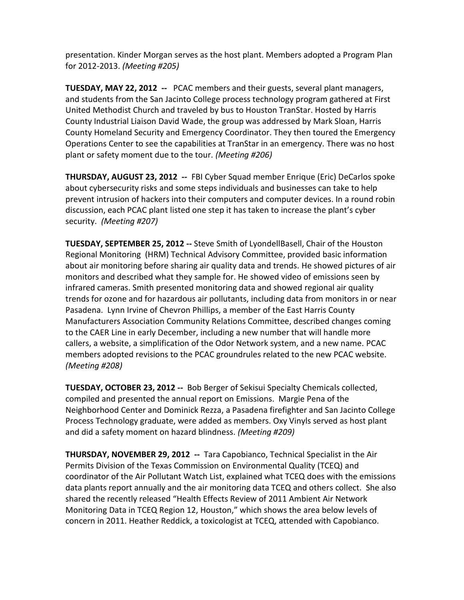presentation. Kinder Morgan serves as the host plant. Members adopted a Program Plan for 2012-2013. *(Meeting #205)*

**TUESDAY, MAY 22, 2012 --** PCAC members and their guests, several plant managers, and students from the San Jacinto College process technology program gathered at First United Methodist Church and traveled by bus to Houston TranStar. Hosted by Harris County Industrial Liaison David Wade, the group was addressed by Mark Sloan, Harris County Homeland Security and Emergency Coordinator. They then toured the Emergency Operations Center to see the capabilities at TranStar in an emergency. There was no host plant or safety moment due to the tour. *(Meeting #206)*

**THURSDAY, AUGUST 23, 2012 --** FBI Cyber Squad member Enrique (Eric) DeCarlos spoke about cybersecurity risks and some steps individuals and businesses can take to help prevent intrusion of hackers into their computers and computer devices. In a round robin discussion, each PCAC plant listed one step it has taken to increase the plant's cyber security. *(Meeting #207)*

**TUESDAY, SEPTEMBER 25, 2012 --** Steve Smith of LyondellBasell, Chair of the Houston Regional Monitoring (HRM) Technical Advisory Committee, provided basic information about air monitoring before sharing air quality data and trends. He showed pictures of air monitors and described what they sample for. He showed video of emissions seen by infrared cameras. Smith presented monitoring data and showed regional air quality trends for ozone and for hazardous air pollutants, including data from monitors in or near Pasadena. Lynn Irvine of Chevron Phillips, a member of the East Harris County Manufacturers Association Community Relations Committee, described changes coming to the CAER Line in early December, including a new number that will handle more callers, a website, a simplification of the Odor Network system, and a new name. PCAC members adopted revisions to the PCAC groundrules related to the new PCAC website. *(Meeting #208)*

**TUESDAY, OCTOBER 23, 2012 --** Bob Berger of Sekisui Specialty Chemicals collected, compiled and presented the annual report on Emissions. Margie Pena of the Neighborhood Center and Dominick Rezza, a Pasadena firefighter and San Jacinto College Process Technology graduate, were added as members. Oxy Vinyls served as host plant and did a safety moment on hazard blindness. *(Meeting #209)*

**THURSDAY, NOVEMBER 29, 2012 --** Tara Capobianco, Technical Specialist in the Air Permits Division of the Texas Commission on Environmental Quality (TCEQ) and coordinator of the Air Pollutant Watch List, explained what TCEQ does with the emissions data plants report annually and the air monitoring data TCEQ and others collect. She also shared the recently released "Health Effects Review of 2011 Ambient Air Network Monitoring Data in TCEQ Region 12, Houston," which shows the area below levels of concern in 2011. Heather Reddick, a toxicologist at TCEQ, attended with Capobianco.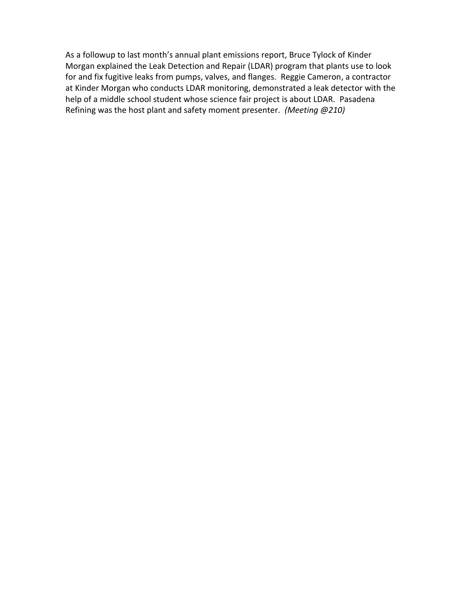As a followup to last month's annual plant emissions report, Bruce Tylock of Kinder Morgan explained the Leak Detection and Repair (LDAR) program that plants use to look for and fix fugitive leaks from pumps, valves, and flanges. Reggie Cameron, a contractor at Kinder Morgan who conducts LDAR monitoring, demonstrated a leak detector with the help of a middle school student whose science fair project is about LDAR. Pasadena Refining was the host plant and safety moment presenter. *(Meeting @210)*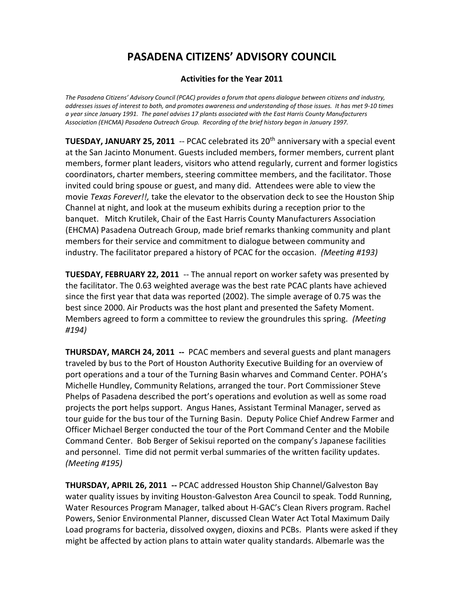### **Activities for the Year 2011**

*The Pasadena Citizens' Advisory Council (PCAC) provides a forum that opens dialogue between citizens and industry, addresses issues of interest to both, and promotes awareness and understanding of those issues. It has met 9-10 times a year since January 1991. The panel advises 17 plants associated with the East Harris County Manufacturers Association (EHCMA) Pasadena Outreach Group. Recording of the brief history began in January 1997.* 

**TUESDAY, JANUARY 25, 2011** -- PCAC celebrated its 20<sup>th</sup> anniversary with a special event at the San Jacinto Monument. Guests included members, former members, current plant members, former plant leaders, visitors who attend regularly, current and former logistics coordinators, charter members, steering committee members, and the facilitator. Those invited could bring spouse or guest, and many did. Attendees were able to view the movie *Texas Forever!!,* take the elevator to the observation deck to see the Houston Ship Channel at night, and look at the museum exhibits during a reception prior to the banquet. Mitch Krutilek, Chair of the East Harris County Manufacturers Association (EHCMA) Pasadena Outreach Group, made brief remarks thanking community and plant members for their service and commitment to dialogue between community and industry. The facilitator prepared a history of PCAC for the occasion. *(Meeting #193)*

**TUESDAY, FEBRUARY 22, 2011** -- The annual report on worker safety was presented by the facilitator. The 0.63 weighted average was the best rate PCAC plants have achieved since the first year that data was reported (2002). The simple average of 0.75 was the best since 2000. Air Products was the host plant and presented the Safety Moment. Members agreed to form a committee to review the groundrules this spring. *(Meeting #194)*

**THURSDAY, MARCH 24, 2011 --** PCAC members and several guests and plant managers traveled by bus to the Port of Houston Authority Executive Building for an overview of port operations and a tour of the Turning Basin wharves and Command Center. POHA's Michelle Hundley, Community Relations, arranged the tour. Port Commissioner Steve Phelps of Pasadena described the port's operations and evolution as well as some road projects the port helps support. Angus Hanes, Assistant Terminal Manager, served as tour guide for the bus tour of the Turning Basin. Deputy Police Chief Andrew Farmer and Officer Michael Berger conducted the tour of the Port Command Center and the Mobile Command Center. Bob Berger of Sekisui reported on the company's Japanese facilities and personnel. Time did not permit verbal summaries of the written facility updates. *(Meeting #195)*

**THURSDAY, APRIL 26, 2011 --** PCAC addressed Houston Ship Channel/Galveston Bay water quality issues by inviting Houston-Galveston Area Council to speak. Todd Running, Water Resources Program Manager, talked about H-GAC's Clean Rivers program. Rachel Powers, Senior Environmental Planner, discussed Clean Water Act Total Maximum Daily Load programs for bacteria, dissolved oxygen, dioxins and PCBs. Plants were asked if they might be affected by action plans to attain water quality standards. Albemarle was the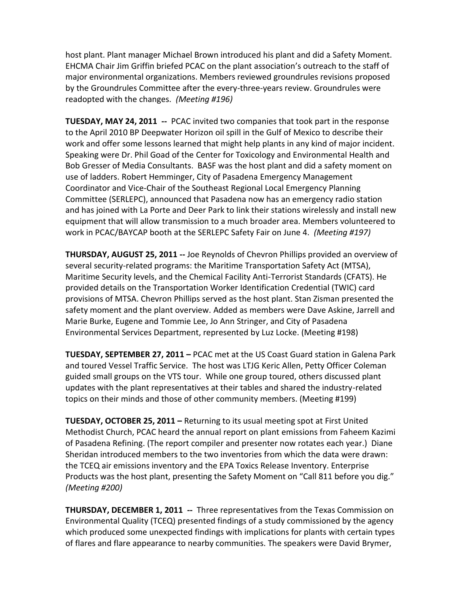host plant. Plant manager Michael Brown introduced his plant and did a Safety Moment. EHCMA Chair Jim Griffin briefed PCAC on the plant association's outreach to the staff of major environmental organizations. Members reviewed groundrules revisions proposed by the Groundrules Committee after the every-three-years review. Groundrules were readopted with the changes. *(Meeting #196)*

**TUESDAY, MAY 24, 2011 --** PCAC invited two companies that took part in the response to the April 2010 BP Deepwater Horizon oil spill in the Gulf of Mexico to describe their work and offer some lessons learned that might help plants in any kind of major incident. Speaking were Dr. Phil Goad of the Center for Toxicology and Environmental Health and Bob Gresser of Media Consultants. BASF was the host plant and did a safety moment on use of ladders. Robert Hemminger, City of Pasadena Emergency Management Coordinator and Vice-Chair of the Southeast Regional Local Emergency Planning Committee (SERLEPC), announced that Pasadena now has an emergency radio station and has joined with La Porte and Deer Park to link their stations wirelessly and install new equipment that will allow transmission to a much broader area. Members volunteered to work in PCAC/BAYCAP booth at the SERLEPC Safety Fair on June 4. *(Meeting #197)*

**THURSDAY, AUGUST 25, 2011 --** Joe Reynolds of Chevron Phillips provided an overview of several security-related programs: the Maritime Transportation Safety Act (MTSA), Maritime Security levels, and the Chemical Facility Anti-Terrorist Standards (CFATS). He provided details on the Transportation Worker Identification Credential (TWIC) card provisions of MTSA. Chevron Phillips served as the host plant. Stan Zisman presented the safety moment and the plant overview. Added as members were Dave Askine, Jarrell and Marie Burke, Eugene and Tommie Lee, Jo Ann Stringer, and City of Pasadena Environmental Services Department, represented by Luz Locke. (Meeting #198)

**TUESDAY, SEPTEMBER 27, 2011 –** PCAC met at the US Coast Guard station in Galena Park and toured Vessel Traffic Service. The host was LTJG Keric Allen, Petty Officer Coleman guided small groups on the VTS tour. While one group toured, others discussed plant updates with the plant representatives at their tables and shared the industry-related topics on their minds and those of other community members. (Meeting #199)

**TUESDAY, OCTOBER 25, 2011 –** Returning to its usual meeting spot at First United Methodist Church, PCAC heard the annual report on plant emissions from Faheem Kazimi of Pasadena Refining. (The report compiler and presenter now rotates each year.) Diane Sheridan introduced members to the two inventories from which the data were drawn: the TCEQ air emissions inventory and the EPA Toxics Release Inventory. Enterprise Products was the host plant, presenting the Safety Moment on "Call 811 before you dig." *(Meeting #200)*

**THURSDAY, DECEMBER 1, 2011 --** Three representatives from the Texas Commission on Environmental Quality (TCEQ) presented findings of a study commissioned by the agency which produced some unexpected findings with implications for plants with certain types of flares and flare appearance to nearby communities. The speakers were David Brymer,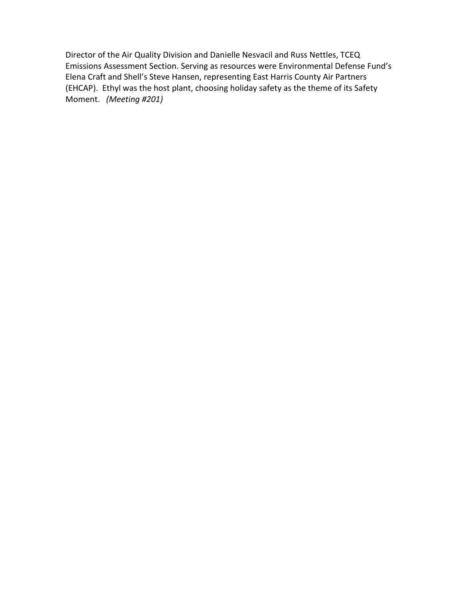Director of the Air Quality Division and Danielle Nesvacil and Russ Nettles, TCEQ Emissions Assessment Section. Serving as resources were Environmental Defense Fund's Elena Craft and Shell's Steve Hansen, representing East Harris County Air Partners (EHCAP). Ethyl was the host plant, choosing holiday safety as the theme of its Safety Moment. *(Meeting #201)*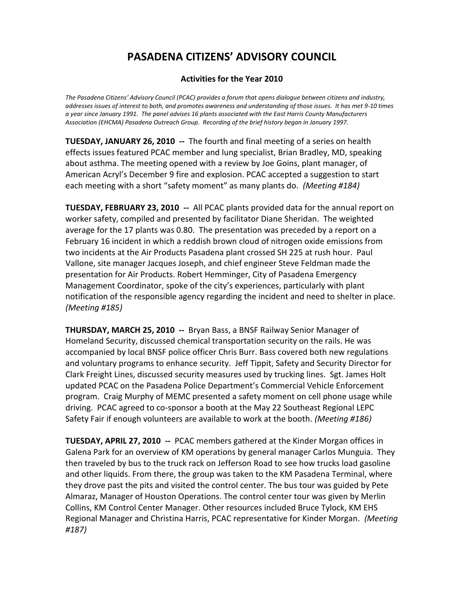### **Activities for the Year 2010**

*The Pasadena Citizens' Advisory Council (PCAC) provides a forum that opens dialogue between citizens and industry, addresses issues of interest to both, and promotes awareness and understanding of those issues. It has met 9-10 times a year since January 1991. The panel advises 16 plants associated with the East Harris County Manufacturers Association (EHCMA) Pasadena Outreach Group. Recording of the brief history began in January 1997.* 

**TUESDAY, JANUARY 26, 2010 --** The fourth and final meeting of a series on health effects issues featured PCAC member and lung specialist, Brian Bradley, MD, speaking about asthma. The meeting opened with a review by Joe Goins, plant manager, of American Acryl's December 9 fire and explosion. PCAC accepted a suggestion to start each meeting with a short "safety moment" as many plants do. *(Meeting #184)*

**TUESDAY, FEBRUARY 23, 2010 --** All PCAC plants provided data for the annual report on worker safety, compiled and presented by facilitator Diane Sheridan. The weighted average for the 17 plants was 0.80. The presentation was preceded by a report on a February 16 incident in which a reddish brown cloud of nitrogen oxide emissions from two incidents at the Air Products Pasadena plant crossed SH 225 at rush hour. Paul Vallone, site manager Jacques Joseph, and chief engineer Steve Feldman made the presentation for Air Products. Robert Hemminger, City of Pasadena Emergency Management Coordinator, spoke of the city's experiences, particularly with plant notification of the responsible agency regarding the incident and need to shelter in place. *(Meeting #185)*

**THURSDAY, MARCH 25, 2010 --** Bryan Bass, a BNSF Railway Senior Manager of Homeland Security, discussed chemical transportation security on the rails. He was accompanied by local BNSF police officer Chris Burr. Bass covered both new regulations and voluntary programs to enhance security. Jeff Tippit, Safety and Security Director for Clark Freight Lines, discussed security measures used by trucking lines. Sgt. James Holt updated PCAC on the Pasadena Police Department's Commercial Vehicle Enforcement program. Craig Murphy of MEMC presented a safety moment on cell phone usage while driving. PCAC agreed to co-sponsor a booth at the May 22 Southeast Regional LEPC Safety Fair if enough volunteers are available to work at the booth. *(Meeting #186)*

**TUESDAY, APRIL 27, 2010 --** PCAC members gathered at the Kinder Morgan offices in Galena Park for an overview of KM operations by general manager Carlos Munguia. They then traveled by bus to the truck rack on Jefferson Road to see how trucks load gasoline and other liquids. From there, the group was taken to the KM Pasadena Terminal, where they drove past the pits and visited the control center. The bus tour was guided by Pete Almaraz, Manager of Houston Operations. The control center tour was given by Merlin Collins, KM Control Center Manager. Other resources included Bruce Tylock, KM EHS Regional Manager and Christina Harris, PCAC representative for Kinder Morgan. *(Meeting #187)*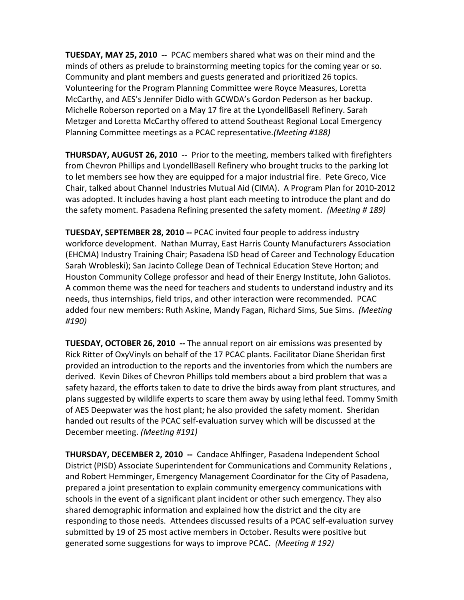**TUESDAY, MAY 25, 2010 --** PCAC members shared what was on their mind and the minds of others as prelude to brainstorming meeting topics for the coming year or so. Community and plant members and guests generated and prioritized 26 topics. Volunteering for the Program Planning Committee were Royce Measures, Loretta McCarthy, and AES's Jennifer Didlo with GCWDA's Gordon Pederson as her backup. Michelle Roberson reported on a May 17 fire at the LyondellBasell Refinery. Sarah Metzger and Loretta McCarthy offered to attend Southeast Regional Local Emergency Planning Committee meetings as a PCAC representative.*(Meeting #188)*

**THURSDAY, AUGUST 26, 2010** -- Prior to the meeting, members talked with firefighters from Chevron Phillips and LyondellBasell Refinery who brought trucks to the parking lot to let members see how they are equipped for a major industrial fire. Pete Greco, Vice Chair, talked about Channel Industries Mutual Aid (CIMA). A Program Plan for 2010-2012 was adopted. It includes having a host plant each meeting to introduce the plant and do the safety moment. Pasadena Refining presented the safety moment. *(Meeting # 189)*

**TUESDAY, SEPTEMBER 28, 2010 --** PCAC invited four people to address industry workforce development. Nathan Murray, East Harris County Manufacturers Association (EHCMA) Industry Training Chair; Pasadena ISD head of Career and Technology Education Sarah Wrobleski); San Jacinto College Dean of Technical Education Steve Horton; and Houston Community College professor and head of their Energy Institute, John Galiotos. A common theme was the need for teachers and students to understand industry and its needs, thus internships, field trips, and other interaction were recommended. PCAC added four new members: Ruth Askine, Mandy Fagan, Richard Sims, Sue Sims. *(Meeting #190)*

**TUESDAY, OCTOBER 26, 2010 --** The annual report on air emissions was presented by Rick Ritter of OxyVinyls on behalf of the 17 PCAC plants. Facilitator Diane Sheridan first provided an introduction to the reports and the inventories from which the numbers are derived. Kevin Dikes of Chevron Phillips told members about a bird problem that was a safety hazard, the efforts taken to date to drive the birds away from plant structures, and plans suggested by wildlife experts to scare them away by using lethal feed. Tommy Smith of AES Deepwater was the host plant; he also provided the safety moment. Sheridan handed out results of the PCAC self-evaluation survey which will be discussed at the December meeting. *(Meeting #191)*

**THURSDAY, DECEMBER 2, 2010 --** Candace Ahlfinger, Pasadena Independent School District (PISD) Associate Superintendent for Communications and Community Relations , and Robert Hemminger, Emergency Management Coordinator for the City of Pasadena, prepared a joint presentation to explain community emergency communications with schools in the event of a significant plant incident or other such emergency. They also shared demographic information and explained how the district and the city are responding to those needs. Attendees discussed results of a PCAC self-evaluation survey submitted by 19 of 25 most active members in October. Results were positive but generated some suggestions for ways to improve PCAC. *(Meeting # 192)*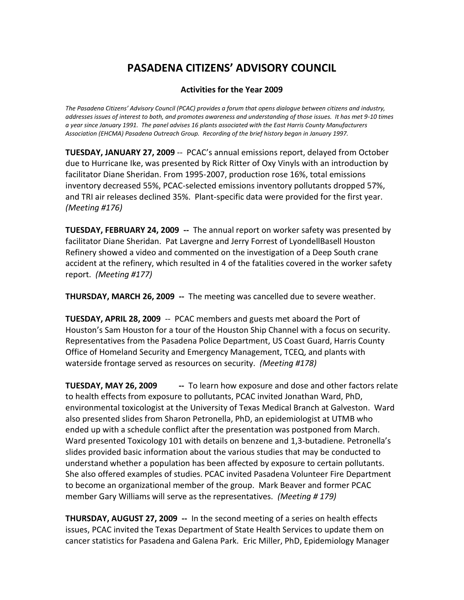### **Activities for the Year 2009**

*The Pasadena Citizens' Advisory Council (PCAC) provides a forum that opens dialogue between citizens and industry, addresses issues of interest to both, and promotes awareness and understanding of those issues. It has met 9-10 times a year since January 1991. The panel advises 16 plants associated with the East Harris County Manufacturers Association (EHCMA) Pasadena Outreach Group. Recording of the brief history began in January 1997.* 

**TUESDAY, JANUARY 27, 2009** -- PCAC's annual emissions report, delayed from October due to Hurricane Ike, was presented by Rick Ritter of Oxy Vinyls with an introduction by facilitator Diane Sheridan. From 1995-2007, production rose 16%, total emissions inventory decreased 55%, PCAC-selected emissions inventory pollutants dropped 57%, and TRI air releases declined 35%. Plant-specific data were provided for the first year. *(Meeting #176)*

**TUESDAY, FEBRUARY 24, 2009 --** The annual report on worker safety was presented by facilitator Diane Sheridan. Pat Lavergne and Jerry Forrest of LyondellBasell Houston Refinery showed a video and commented on the investigation of a Deep South crane accident at the refinery, which resulted in 4 of the fatalities covered in the worker safety report. *(Meeting #177)*

**THURSDAY, MARCH 26, 2009 --** The meeting was cancelled due to severe weather.

**TUESDAY, APRIL 28, 2009** -- PCAC members and guests met aboard the Port of Houston's Sam Houston for a tour of the Houston Ship Channel with a focus on security. Representatives from the Pasadena Police Department, US Coast Guard, Harris County Office of Homeland Security and Emergency Management, TCEQ, and plants with waterside frontage served as resources on security. *(Meeting #178)*

**TUESDAY, MAY 26, 2009 --**  To learn how exposure and dose and other factors relate to health effects from exposure to pollutants, PCAC invited Jonathan Ward, PhD, environmental toxicologist at the University of Texas Medical Branch at Galveston. Ward also presented slides from Sharon Petronella, PhD, an epidemiologist at UTMB who ended up with a schedule conflict after the presentation was postponed from March. Ward presented Toxicology 101 with details on benzene and 1,3-butadiene. Petronella's slides provided basic information about the various studies that may be conducted to understand whether a population has been affected by exposure to certain pollutants. She also offered examples of studies. PCAC invited Pasadena Volunteer Fire Department to become an organizational member of the group. Mark Beaver and former PCAC member Gary Williams will serve as the representatives. *(Meeting # 179)*

**THURSDAY, AUGUST 27, 2009 --** In the second meeting of a series on health effects issues, PCAC invited the Texas Department of State Health Services to update them on cancer statistics for Pasadena and Galena Park. Eric Miller, PhD, Epidemiology Manager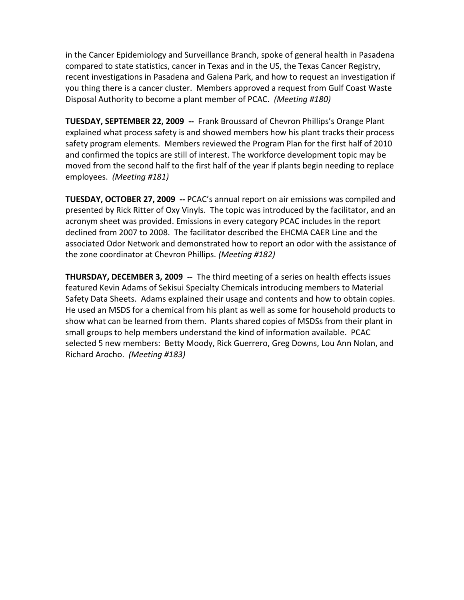in the Cancer Epidemiology and Surveillance Branch, spoke of general health in Pasadena compared to state statistics, cancer in Texas and in the US, the Texas Cancer Registry, recent investigations in Pasadena and Galena Park, and how to request an investigation if you thing there is a cancer cluster. Members approved a request from Gulf Coast Waste Disposal Authority to become a plant member of PCAC. *(Meeting #180)*

**TUESDAY, SEPTEMBER 22, 2009 --** Frank Broussard of Chevron Phillips's Orange Plant explained what process safety is and showed members how his plant tracks their process safety program elements. Members reviewed the Program Plan for the first half of 2010 and confirmed the topics are still of interest. The workforce development topic may be moved from the second half to the first half of the year if plants begin needing to replace employees. *(Meeting #181)*

**TUESDAY, OCTOBER 27, 2009 --** PCAC's annual report on air emissions was compiled and presented by Rick Ritter of Oxy Vinyls. The topic was introduced by the facilitator, and an acronym sheet was provided. Emissions in every category PCAC includes in the report declined from 2007 to 2008. The facilitator described the EHCMA CAER Line and the associated Odor Network and demonstrated how to report an odor with the assistance of the zone coordinator at Chevron Phillips. *(Meeting #182)*

**THURSDAY, DECEMBER 3, 2009 --** The third meeting of a series on health effects issues featured Kevin Adams of Sekisui Specialty Chemicals introducing members to Material Safety Data Sheets. Adams explained their usage and contents and how to obtain copies. He used an MSDS for a chemical from his plant as well as some for household products to show what can be learned from them. Plants shared copies of MSDSs from their plant in small groups to help members understand the kind of information available. PCAC selected 5 new members: Betty Moody, Rick Guerrero, Greg Downs, Lou Ann Nolan, and Richard Arocho. *(Meeting #183)*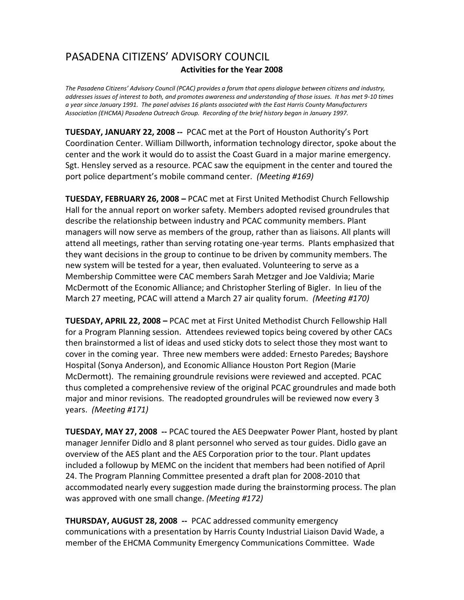## PASADENA CITIZENS' ADVISORY COUNCIL **Activities for the Year 2008**

*The Pasadena Citizens' Advisory Council (PCAC) provides a forum that opens dialogue between citizens and industry, addresses issues of interest to both, and promotes awareness and understanding of those issues. It has met 9-10 times a year since January 1991. The panel advises 16 plants associated with the East Harris County Manufacturers Association (EHCMA) Pasadena Outreach Group. Recording of the brief history began in January 1997.* 

**TUESDAY, JANUARY 22, 2008** *--* PCAC met at the Port of Houston Authority's Port Coordination Center. William Dillworth, information technology director, spoke about the center and the work it would do to assist the Coast Guard in a major marine emergency. Sgt. Hensley served as a resource. PCAC saw the equipment in the center and toured the port police department's mobile command center. *(Meeting #169)*

**TUESDAY, FEBRUARY 26, 2008 –** PCAC met at First United Methodist Church Fellowship Hall for the annual report on worker safety. Members adopted revised groundrules that describe the relationship between industry and PCAC community members. Plant managers will now serve as members of the group, rather than as liaisons. All plants will attend all meetings, rather than serving rotating one-year terms. Plants emphasized that they want decisions in the group to continue to be driven by community members. The new system will be tested for a year, then evaluated. Volunteering to serve as a Membership Committee were CAC members Sarah Metzger and Joe Valdivia; Marie McDermott of the Economic Alliance; and Christopher Sterling of Bigler. In lieu of the March 27 meeting, PCAC will attend a March 27 air quality forum. *(Meeting #170)*

**TUESDAY, APRIL 22, 2008 –** PCAC met at First United Methodist Church Fellowship Hall for a Program Planning session. Attendees reviewed topics being covered by other CACs then brainstormed a list of ideas and used sticky dots to select those they most want to cover in the coming year. Three new members were added: Ernesto Paredes; Bayshore Hospital (Sonya Anderson), and Economic Alliance Houston Port Region (Marie McDermott). The remaining groundrule revisions were reviewed and accepted. PCAC thus completed a comprehensive review of the original PCAC groundrules and made both major and minor revisions. The readopted groundrules will be reviewed now every 3 years. *(Meeting #171)*

**TUESDAY, MAY 27, 2008 --** PCAC toured the AES Deepwater Power Plant, hosted by plant manager Jennifer Didlo and 8 plant personnel who served as tour guides. Didlo gave an overview of the AES plant and the AES Corporation prior to the tour. Plant updates included a followup by MEMC on the incident that members had been notified of April 24. The Program Planning Committee presented a draft plan for 2008-2010 that accommodated nearly every suggestion made during the brainstorming process. The plan was approved with one small change. *(Meeting #172)*

**THURSDAY, AUGUST 28, 2008 --** PCAC addressed community emergency communications with a presentation by Harris County Industrial Liaison David Wade, a member of the EHCMA Community Emergency Communications Committee. Wade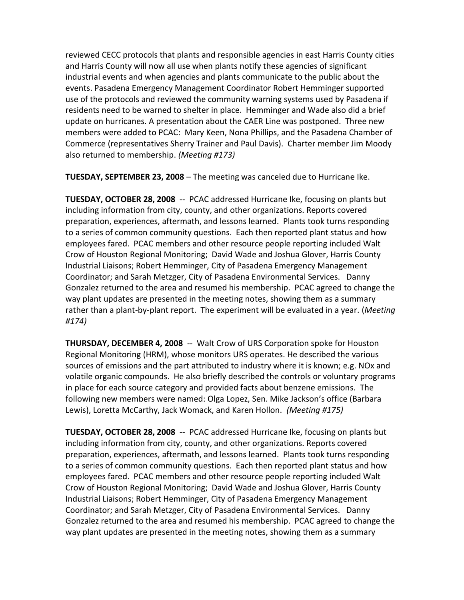reviewed CECC protocols that plants and responsible agencies in east Harris County cities and Harris County will now all use when plants notify these agencies of significant industrial events and when agencies and plants communicate to the public about the events. Pasadena Emergency Management Coordinator Robert Hemminger supported use of the protocols and reviewed the community warning systems used by Pasadena if residents need to be warned to shelter in place. Hemminger and Wade also did a brief update on hurricanes. A presentation about the CAER Line was postponed. Three new members were added to PCAC: Mary Keen, Nona Phillips, and the Pasadena Chamber of Commerce (representatives Sherry Trainer and Paul Davis). Charter member Jim Moody also returned to membership. *(Meeting #173)*

**TUESDAY, SEPTEMBER 23, 2008** – The meeting was canceled due to Hurricane Ike.

**TUESDAY, OCTOBER 28, 2008** -- PCAC addressed Hurricane Ike, focusing on plants but including information from city, county, and other organizations. Reports covered preparation, experiences, aftermath, and lessons learned. Plants took turns responding to a series of common community questions. Each then reported plant status and how employees fared. PCAC members and other resource people reporting included Walt Crow of Houston Regional Monitoring; David Wade and Joshua Glover, Harris County Industrial Liaisons; Robert Hemminger, City of Pasadena Emergency Management Coordinator; and Sarah Metzger, City of Pasadena Environmental Services. Danny Gonzalez returned to the area and resumed his membership. PCAC agreed to change the way plant updates are presented in the meeting notes, showing them as a summary rather than a plant-by-plant report. The experiment will be evaluated in a year. (*Meeting #174)* 

**THURSDAY, DECEMBER 4, 2008** -- Walt Crow of URS Corporation spoke for Houston Regional Monitoring (HRM), whose monitors URS operates. He described the various sources of emissions and the part attributed to industry where it is known; e.g. NOx and volatile organic compounds. He also briefly described the controls or voluntary programs in place for each source category and provided facts about benzene emissions. The following new members were named: Olga Lopez, Sen. Mike Jackson's office (Barbara Lewis), Loretta McCarthy, Jack Womack, and Karen Hollon. *(Meeting #175)*

**TUESDAY, OCTOBER 28, 2008** -- PCAC addressed Hurricane Ike, focusing on plants but including information from city, county, and other organizations. Reports covered preparation, experiences, aftermath, and lessons learned. Plants took turns responding to a series of common community questions. Each then reported plant status and how employees fared. PCAC members and other resource people reporting included Walt Crow of Houston Regional Monitoring; David Wade and Joshua Glover, Harris County Industrial Liaisons; Robert Hemminger, City of Pasadena Emergency Management Coordinator; and Sarah Metzger, City of Pasadena Environmental Services. Danny Gonzalez returned to the area and resumed his membership. PCAC agreed to change the way plant updates are presented in the meeting notes, showing them as a summary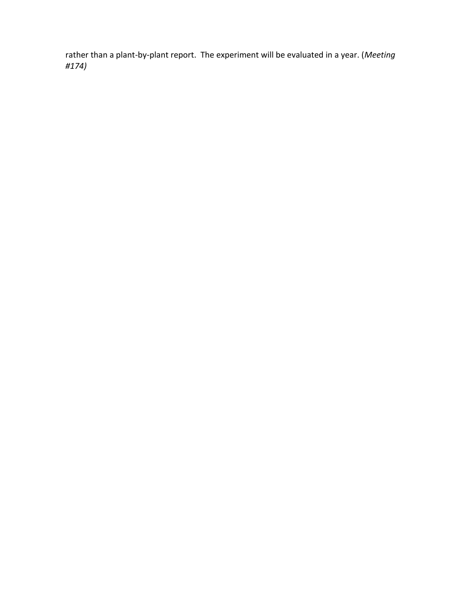rather than a plant-by-plant report. The experiment will be evaluated in a year. (*Meeting #174)*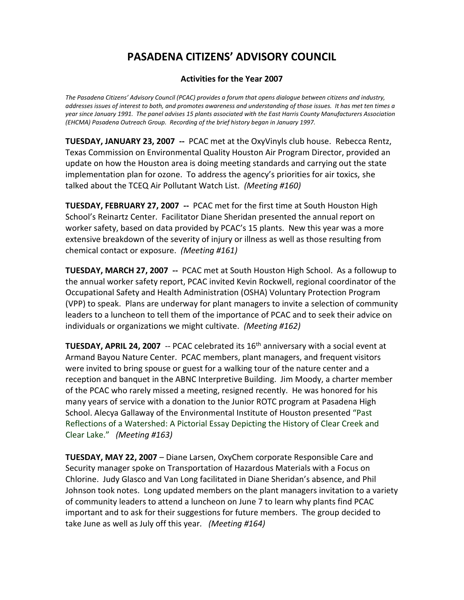### **Activities for the Year 2007**

*The Pasadena Citizens' Advisory Council (PCAC) provides a forum that opens dialogue between citizens and industry, addresses issues of interest to both, and promotes awareness and understanding of those issues. It has met ten times a year since January 1991. The panel advises 15 plants associated with the East Harris County Manufacturers Association (EHCMA) Pasadena Outreach Group. Recording of the brief history began in January 1997.* 

**TUESDAY, JANUARY 23, 2007 --** PCAC met at the OxyVinyls club house. Rebecca Rentz, Texas Commission on Environmental Quality Houston Air Program Director, provided an update on how the Houston area is doing meeting standards and carrying out the state implementation plan for ozone. To address the agency's priorities for air toxics, she talked about the TCEQ Air Pollutant Watch List. *(Meeting #160)*

**TUESDAY, FEBRUARY 27, 2007 --** PCAC met for the first time at South Houston High School's Reinartz Center. Facilitator Diane Sheridan presented the annual report on worker safety, based on data provided by PCAC's 15 plants. New this year was a more extensive breakdown of the severity of injury or illness as well as those resulting from chemical contact or exposure. *(Meeting #161)*

**TUESDAY, MARCH 27, 2007 --** PCAC met at South Houston High School. As a followup to the annual worker safety report, PCAC invited Kevin Rockwell, regional coordinator of the Occupational Safety and Health Administration (OSHA) Voluntary Protection Program (VPP) to speak. Plans are underway for plant managers to invite a selection of community leaders to a luncheon to tell them of the importance of PCAC and to seek their advice on individuals or organizations we might cultivate. *(Meeting #162)*

**TUESDAY, APRIL 24, 2007** -- PCAC celebrated its 16<sup>th</sup> anniversary with a social event at Armand Bayou Nature Center. PCAC members, plant managers, and frequent visitors were invited to bring spouse or guest for a walking tour of the nature center and a reception and banquet in the ABNC Interpretive Building. Jim Moody, a charter member of the PCAC who rarely missed a meeting, resigned recently. He was honored for his many years of service with a donation to the Junior ROTC program at Pasadena High School. Alecya Gallaway of the Environmental Institute of Houston presented "Past Reflections of a Watershed: A Pictorial Essay Depicting the History of Clear Creek and Clear Lake." *(Meeting #163)*

**TUESDAY, MAY 22, 2007** – Diane Larsen, OxyChem corporate Responsible Care and Security manager spoke on Transportation of Hazardous Materials with a Focus on Chlorine. Judy Glasco and Van Long facilitated in Diane Sheridan's absence, and Phil Johnson took notes. Long updated members on the plant managers invitation to a variety of community leaders to attend a luncheon on June 7 to learn why plants find PCAC important and to ask for their suggestions for future members. The group decided to take June as well as July off this year*. (Meeting #164)*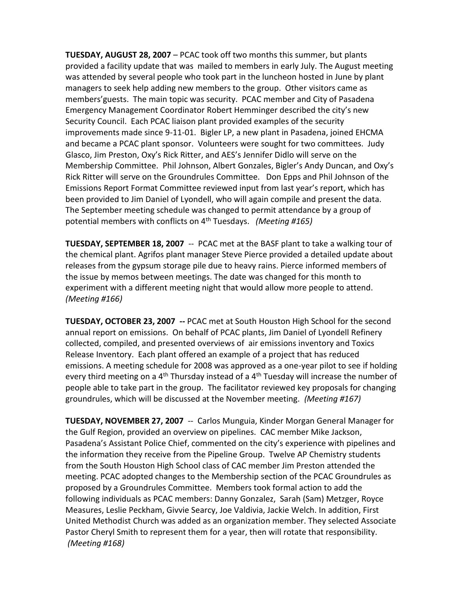**TUESDAY, AUGUST 28, 2007** – PCAC took off two months this summer, but plants provided a facility update that was mailed to members in early July. The August meeting was attended by several people who took part in the luncheon hosted in June by plant managers to seek help adding new members to the group. Other visitors came as members'guests. The main topic was security. PCAC member and City of Pasadena Emergency Management Coordinator Robert Hemminger described the city's new Security Council. Each PCAC liaison plant provided examples of the security improvements made since 9-11-01. Bigler LP, a new plant in Pasadena, joined EHCMA and became a PCAC plant sponsor. Volunteers were sought for two committees. Judy Glasco, Jim Preston, Oxy's Rick Ritter, and AES's Jennifer Didlo will serve on the Membership Committee. Phil Johnson, Albert Gonzales, Bigler's Andy Duncan, and Oxy's Rick Ritter will serve on the Groundrules Committee. Don Epps and Phil Johnson of the Emissions Report Format Committee reviewed input from last year's report, which has been provided to Jim Daniel of Lyondell, who will again compile and present the data. The September meeting schedule was changed to permit attendance by a group of potential members with conflicts on 4th Tuesdays. *(Meeting #165)*

**TUESDAY, SEPTEMBER 18, 2007** -- PCAC met at the BASF plant to take a walking tour of the chemical plant. Agrifos plant manager Steve Pierce provided a detailed update about releases from the gypsum storage pile due to heavy rains. Pierce informed members of the issue by memos between meetings. The date was changed for this month to experiment with a different meeting night that would allow more people to attend. *(Meeting #166)*

**TUESDAY, OCTOBER 23, 2007 --** PCAC met at South Houston High School for the second annual report on emissions. On behalf of PCAC plants, Jim Daniel of Lyondell Refinery collected, compiled, and presented overviews of air emissions inventory and Toxics Release Inventory. Each plant offered an example of a project that has reduced emissions. A meeting schedule for 2008 was approved as a one-year pilot to see if holding every third meeting on a  $4<sup>th</sup>$  Thursday instead of a  $4<sup>th</sup>$  Tuesday will increase the number of people able to take part in the group. The facilitator reviewed key proposals for changing groundrules, which will be discussed at the November meeting. *(Meeting #167)*

**TUESDAY, NOVEMBER 27, 2007** -- Carlos Munguia, Kinder Morgan General Manager for the Gulf Region, provided an overview on pipelines. CAC member Mike Jackson, Pasadena's Assistant Police Chief, commented on the city's experience with pipelines and the information they receive from the Pipeline Group. Twelve AP Chemistry students from the South Houston High School class of CAC member Jim Preston attended the meeting. PCAC adopted changes to the Membership section of the PCAC Groundrules as proposed by a Groundrules Committee. Members took formal action to add the following individuals as PCAC members: Danny Gonzalez, Sarah (Sam) Metzger, Royce Measures, Leslie Peckham, Givvie Searcy, Joe Valdivia, Jackie Welch. In addition, First United Methodist Church was added as an organization member. They selected Associate Pastor Cheryl Smith to represent them for a year, then will rotate that responsibility. *(Meeting #168)*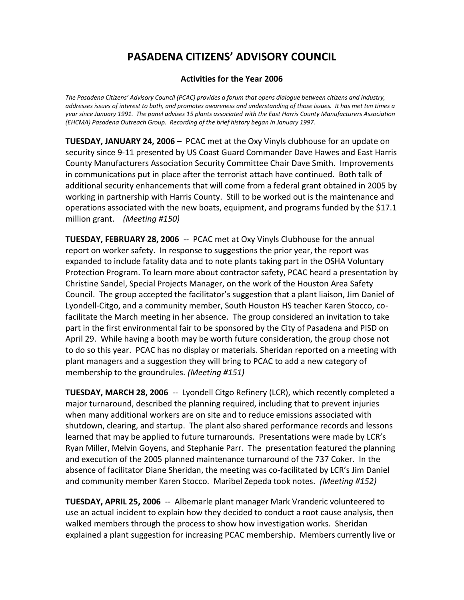### **Activities for the Year 2006**

*The Pasadena Citizens' Advisory Council (PCAC) provides a forum that opens dialogue between citizens and industry, addresses issues of interest to both, and promotes awareness and understanding of those issues. It has met ten times a year since January 1991. The panel advises 15 plants associated with the East Harris County Manufacturers Association (EHCMA) Pasadena Outreach Group. Recording of the brief history began in January 1997.* 

**TUESDAY, JANUARY 24, 2006 –** PCAC met at the Oxy Vinyls clubhouse for an update on security since 9-11 presented by US Coast Guard Commander Dave Hawes and East Harris County Manufacturers Association Security Committee Chair Dave Smith. Improvements in communications put in place after the terrorist attach have continued. Both talk of additional security enhancements that will come from a federal grant obtained in 2005 by working in partnership with Harris County. Still to be worked out is the maintenance and operations associated with the new boats, equipment, and programs funded by the \$17.1 million grant. *(Meeting #150)*

**TUESDAY, FEBRUARY 28, 2006** -- PCAC met at Oxy Vinyls Clubhouse for the annual report on worker safety. In response to suggestions the prior year, the report was expanded to include fatality data and to note plants taking part in the OSHA Voluntary Protection Program. To learn more about contractor safety, PCAC heard a presentation by Christine Sandel, Special Projects Manager, on the work of the Houston Area Safety Council. The group accepted the facilitator's suggestion that a plant liaison, Jim Daniel of Lyondell-Citgo, and a community member, South Houston HS teacher Karen Stocco, cofacilitate the March meeting in her absence. The group considered an invitation to take part in the first environmental fair to be sponsored by the City of Pasadena and PISD on April 29. While having a booth may be worth future consideration, the group chose not to do so this year. PCAC has no display or materials. Sheridan reported on a meeting with plant managers and a suggestion they will bring to PCAC to add a new category of membership to the groundrules. *(Meeting #151)*

**TUESDAY, MARCH 28, 2006** -- Lyondell Citgo Refinery (LCR), which recently completed a major turnaround, described the planning required, including that to prevent injuries when many additional workers are on site and to reduce emissions associated with shutdown, clearing, and startup. The plant also shared performance records and lessons learned that may be applied to future turnarounds. Presentations were made by LCR's Ryan Miller, Melvin Goyens, and Stephanie Parr. The presentation featured the planning and execution of the 2005 planned maintenance turnaround of the 737 Coker. In the absence of facilitator Diane Sheridan, the meeting was co-facilitated by LCR's Jim Daniel and community member Karen Stocco. Maribel Zepeda took notes. *(Meeting #152)*

**TUESDAY, APRIL 25, 2006** -- Albemarle plant manager Mark Vranderic volunteered to use an actual incident to explain how they decided to conduct a root cause analysis, then walked members through the process to show how investigation works. Sheridan explained a plant suggestion for increasing PCAC membership. Members currently live or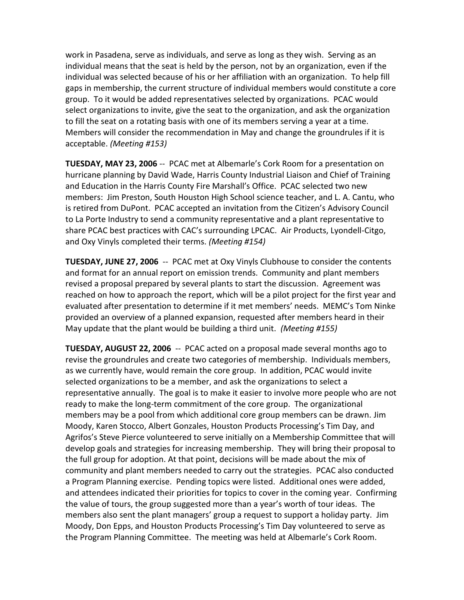work in Pasadena, serve as individuals, and serve as long as they wish. Serving as an individual means that the seat is held by the person, not by an organization, even if the individual was selected because of his or her affiliation with an organization. To help fill gaps in membership, the current structure of individual members would constitute a core group. To it would be added representatives selected by organizations. PCAC would select organizations to invite, give the seat to the organization, and ask the organization to fill the seat on a rotating basis with one of its members serving a year at a time. Members will consider the recommendation in May and change the groundrules if it is acceptable. *(Meeting #153)*

**TUESDAY, MAY 23, 2006** -- PCAC met at Albemarle's Cork Room for a presentation on hurricane planning by David Wade, Harris County Industrial Liaison and Chief of Training and Education in the Harris County Fire Marshall's Office. PCAC selected two new members: Jim Preston, South Houston High School science teacher, and L. A. Cantu, who is retired from DuPont. PCAC accepted an invitation from the Citizen's Advisory Council to La Porte Industry to send a community representative and a plant representative to share PCAC best practices with CAC's surrounding LPCAC. Air Products, Lyondell-Citgo, and Oxy Vinyls completed their terms. *(Meeting #154)*

**TUESDAY, JUNE 27, 2006** -- PCAC met at Oxy Vinyls Clubhouse to consider the contents and format for an annual report on emission trends. Community and plant members revised a proposal prepared by several plants to start the discussion. Agreement was reached on how to approach the report, which will be a pilot project for the first year and evaluated after presentation to determine if it met members' needs. MEMC's Tom Ninke provided an overview of a planned expansion, requested after members heard in their May update that the plant would be building a third unit. *(Meeting #155)*

**TUESDAY, AUGUST 22, 2006** -- PCAC acted on a proposal made several months ago to revise the groundrules and create two categories of membership. Individuals members, as we currently have, would remain the core group. In addition, PCAC would invite selected organizations to be a member, and ask the organizations to select a representative annually. The goal is to make it easier to involve more people who are not ready to make the long-term commitment of the core group. The organizational members may be a pool from which additional core group members can be drawn. Jim Moody, Karen Stocco, Albert Gonzales, Houston Products Processing's Tim Day, and Agrifos's Steve Pierce volunteered to serve initially on a Membership Committee that will develop goals and strategies for increasing membership. They will bring their proposal to the full group for adoption. At that point, decisions will be made about the mix of community and plant members needed to carry out the strategies. PCAC also conducted a Program Planning exercise. Pending topics were listed. Additional ones were added, and attendees indicated their priorities for topics to cover in the coming year. Confirming the value of tours, the group suggested more than a year's worth of tour ideas. The members also sent the plant managers' group a request to support a holiday party. Jim Moody, Don Epps, and Houston Products Processing's Tim Day volunteered to serve as the Program Planning Committee. The meeting was held at Albemarle's Cork Room.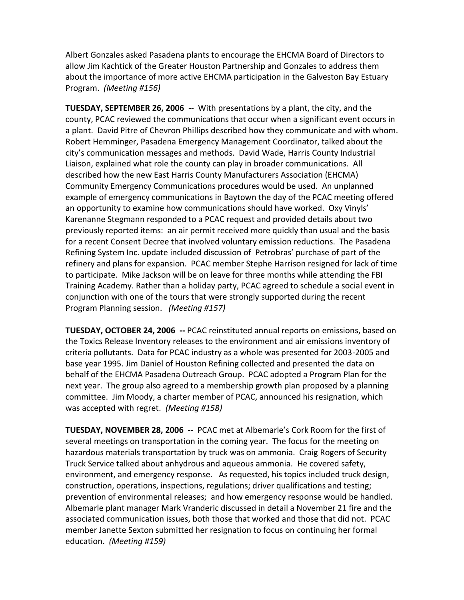Albert Gonzales asked Pasadena plants to encourage the EHCMA Board of Directors to allow Jim Kachtick of the Greater Houston Partnership and Gonzales to address them about the importance of more active EHCMA participation in the Galveston Bay Estuary Program. *(Meeting #156)*

**TUESDAY, SEPTEMBER 26, 2006** -- With presentations by a plant, the city, and the county, PCAC reviewed the communications that occur when a significant event occurs in a plant. David Pitre of Chevron Phillips described how they communicate and with whom. Robert Hemminger, Pasadena Emergency Management Coordinator, talked about the city's communication messages and methods. David Wade, Harris County Industrial Liaison, explained what role the county can play in broader communications. All described how the new East Harris County Manufacturers Association (EHCMA) Community Emergency Communications procedures would be used. An unplanned example of emergency communications in Baytown the day of the PCAC meeting offered an opportunity to examine how communications should have worked. Oxy Vinyls' Karenanne Stegmann responded to a PCAC request and provided details about two previously reported items: an air permit received more quickly than usual and the basis for a recent Consent Decree that involved voluntary emission reductions. The Pasadena Refining System Inc. update included discussion of Petrobras' purchase of part of the refinery and plans for expansion. PCAC member Stephe Harrison resigned for lack of time to participate. Mike Jackson will be on leave for three months while attending the FBI Training Academy. Rather than a holiday party, PCAC agreed to schedule a social event in conjunction with one of the tours that were strongly supported during the recent Program Planning session. *(Meeting #157)*

**TUESDAY, OCTOBER 24, 2006 --** PCAC reinstituted annual reports on emissions, based on the Toxics Release Inventory releases to the environment and air emissions inventory of criteria pollutants. Data for PCAC industry as a whole was presented for 2003-2005 and base year 1995. Jim Daniel of Houston Refining collected and presented the data on behalf of the EHCMA Pasadena Outreach Group. PCAC adopted a Program Plan for the next year. The group also agreed to a membership growth plan proposed by a planning committee. Jim Moody, a charter member of PCAC, announced his resignation, which was accepted with regret. *(Meeting #158)*

**TUESDAY, NOVEMBER 28, 2006 --** PCAC met at Albemarle's Cork Room for the first of several meetings on transportation in the coming year. The focus for the meeting on hazardous materials transportation by truck was on ammonia. Craig Rogers of Security Truck Service talked about anhydrous and aqueous ammonia. He covered safety, environment, and emergency response. As requested, his topics included truck design, construction, operations, inspections, regulations; driver qualifications and testing; prevention of environmental releases; and how emergency response would be handled. Albemarle plant manager Mark Vranderic discussed in detail a November 21 fire and the associated communication issues, both those that worked and those that did not. PCAC member Janette Sexton submitted her resignation to focus on continuing her formal education. *(Meeting #159)*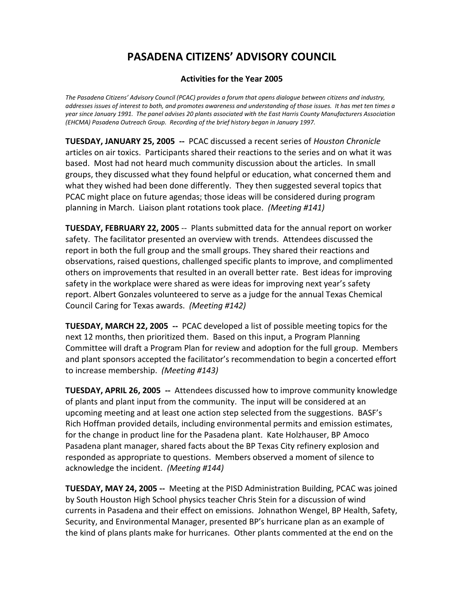### **Activities for the Year 2005**

*The Pasadena Citizens' Advisory Council (PCAC) provides a forum that opens dialogue between citizens and industry, addresses issues of interest to both, and promotes awareness and understanding of those issues. It has met ten times a year since January 1991. The panel advises 20 plants associated with the East Harris County Manufacturers Association (EHCMA) Pasadena Outreach Group. Recording of the brief history began in January 1997.* 

**TUESDAY, JANUARY 25, 2005 --** PCAC discussed a recent series of *Houston Chronicle*  articles on air toxics. Participants shared their reactions to the series and on what it was based. Most had not heard much community discussion about the articles. In small groups, they discussed what they found helpful or education, what concerned them and what they wished had been done differently. They then suggested several topics that PCAC might place on future agendas; those ideas will be considered during program planning in March. Liaison plant rotations took place. *(Meeting #141)*

**TUESDAY, FEBRUARY 22, 2005** -- Plants submitted data for the annual report on worker safety. The facilitator presented an overview with trends. Attendees discussed the report in both the full group and the small groups. They shared their reactions and observations, raised questions, challenged specific plants to improve, and complimented others on improvements that resulted in an overall better rate. Best ideas for improving safety in the workplace were shared as were ideas for improving next year's safety report. Albert Gonzales volunteered to serve as a judge for the annual Texas Chemical Council Caring for Texas awards. *(Meeting #142)*

**TUESDAY, MARCH 22, 2005 --** PCAC developed a list of possible meeting topics for the next 12 months, then prioritized them. Based on this input, a Program Planning Committee will draft a Program Plan for review and adoption for the full group. Members and plant sponsors accepted the facilitator's recommendation to begin a concerted effort to increase membership. *(Meeting #143)*

**TUESDAY, APRIL 26, 2005 --** Attendees discussed how to improve community knowledge of plants and plant input from the community. The input will be considered at an upcoming meeting and at least one action step selected from the suggestions. BASF's Rich Hoffman provided details, including environmental permits and emission estimates, for the change in product line for the Pasadena plant. Kate Holzhauser, BP Amoco Pasadena plant manager, shared facts about the BP Texas City refinery explosion and responded as appropriate to questions. Members observed a moment of silence to acknowledge the incident. *(Meeting #144)*

**TUESDAY, MAY 24, 2005 --** Meeting at the PISD Administration Building, PCAC was joined by South Houston High School physics teacher Chris Stein for a discussion of wind currents in Pasadena and their effect on emissions. Johnathon Wengel, BP Health, Safety, Security, and Environmental Manager, presented BP's hurricane plan as an example of the kind of plans plants make for hurricanes. Other plants commented at the end on the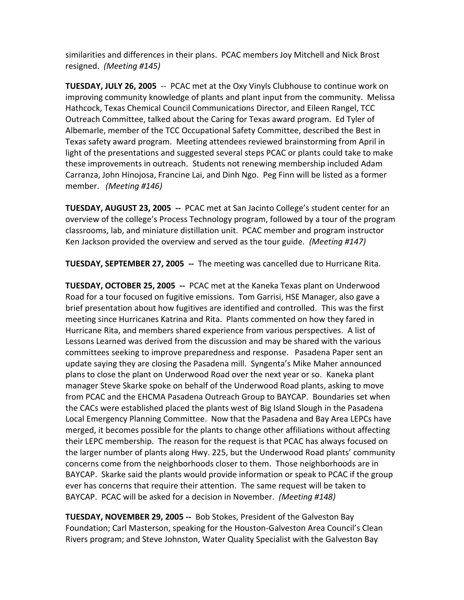similarities and differences in their plans. PCAC members Joy Mitchell and Nick Brost resigned. *(Meeting #145)*

**TUESDAY, JULY 26, 2005** -- PCAC met at the Oxy Vinyls Clubhouse to continue work on improving community knowledge of plants and plant input from the community. Melissa Hathcock, Texas Chemical Council Communications Director, and Eileen Rangel, TCC Outreach Committee, talked about the Caring for Texas award program. Ed Tyler of Albemarle, member of the TCC Occupational Safety Committee, described the Best in Texas safety award program. Meeting attendees reviewed brainstorming from April in light of the presentations and suggested several steps PCAC or plants could take to make these improvements in outreach. Students not renewing membership included Adam Carranza, John Hinojosa, Francine Lai, and Dinh Ngo. Peg Finn will be listed as a former member. *(Meeting #146)*

**TUESDAY, AUGUST 23, 2005 --** PCAC met at San Jacinto College's student center for an overview of the college's Process Technology program, followed by a tour of the program classrooms, lab, and miniature distillation unit. PCAC member and program instructor Ken Jackson provided the overview and served as the tour guide. *(Meeting #147)*

**TUESDAY, SEPTEMBER 27, 2005 --** The meeting was cancelled due to Hurricane Rita.

**TUESDAY, OCTOBER 25, 2005 --** PCAC met at the Kaneka Texas plant on Underwood Road for a tour focused on fugitive emissions. Tom Garrisi, HSE Manager, also gave a brief presentation about how fugitives are identified and controlled. This was the first meeting since Hurricanes Katrina and Rita. Plants commented on how they fared in Hurricane Rita, and members shared experience from various perspectives. A list of Lessons Learned was derived from the discussion and may be shared with the various committees seeking to improve preparedness and response. Pasadena Paper sent an update saying they are closing the Pasadena mill. Syngenta's Mike Maher announced plans to close the plant on Underwood Road over the next year or so. Kaneka plant manager Steve Skarke spoke on behalf of the Underwood Road plants, asking to move from PCAC and the EHCMA Pasadena Outreach Group to BAYCAP. Boundaries set when the CACs were established placed the plants west of Big Island Slough in the Pasadena Local Emergency Planning Committee. Now that the Pasadena and Bay Area LEPCs have merged, it becomes possible for the plants to change other affiliations without affecting their LEPC membership. The reason for the request is that PCAC has always focused on the larger number of plants along Hwy. 225, but the Underwood Road plants' community concerns come from the neighborhoods closer to them. Those neighborhoods are in BAYCAP. Skarke said the plants would provide information or speak to PCAC if the group ever has concerns that require their attention. The same request will be taken to BAYCAP. PCAC will be asked for a decision in November. *(Meeting #148)*

**TUESDAY, NOVEMBER 29, 2005 --** Bob Stokes, President of the Galveston Bay Foundation; Carl Masterson, speaking for the Houston-Galveston Area Council's Clean Rivers program; and Steve Johnston, Water Quality Specialist with the Galveston Bay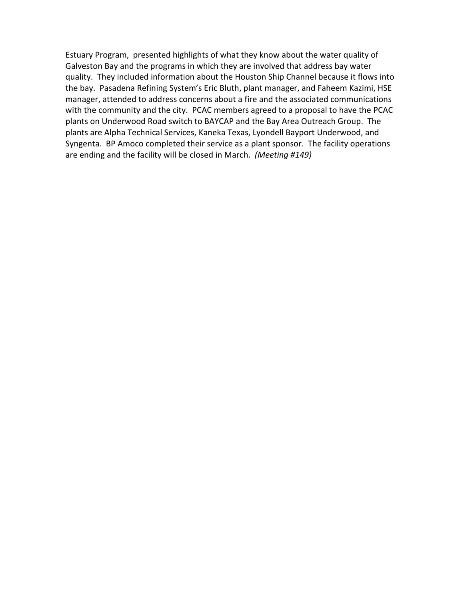Estuary Program, presented highlights of what they know about the water quality of Galveston Bay and the programs in which they are involved that address bay water quality. They included information about the Houston Ship Channel because it flows into the bay. Pasadena Refining System's Eric Bluth, plant manager, and Faheem Kazimi, HSE manager, attended to address concerns about a fire and the associated communications with the community and the city. PCAC members agreed to a proposal to have the PCAC plants on Underwood Road switch to BAYCAP and the Bay Area Outreach Group. The plants are Alpha Technical Services, Kaneka Texas, Lyondell Bayport Underwood, and Syngenta. BP Amoco completed their service as a plant sponsor. The facility operations are ending and the facility will be closed in March. *(Meeting #149)*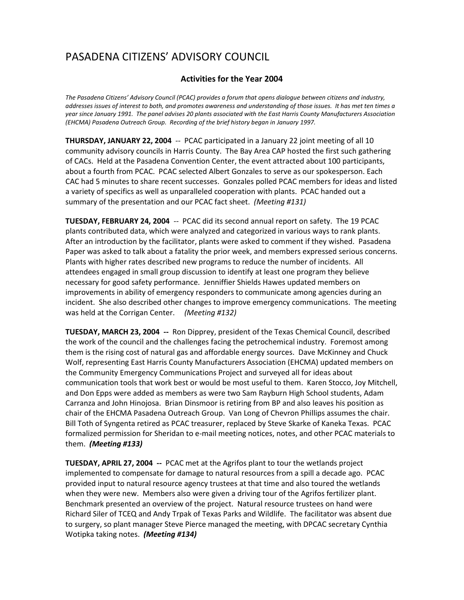### **Activities for the Year 2004**

*The Pasadena Citizens' Advisory Council (PCAC) provides a forum that opens dialogue between citizens and industry, addresses issues of interest to both, and promotes awareness and understanding of those issues. It has met ten times a year since January 1991. The panel advises 20 plants associated with the East Harris County Manufacturers Association (EHCMA) Pasadena Outreach Group. Recording of the brief history began in January 1997.*

**THURSDAY, JANUARY 22, 2004** -- PCAC participated in a January 22 joint meeting of all 10 community advisory councils in Harris County. The Bay Area CAP hosted the first such gathering of CACs. Held at the Pasadena Convention Center, the event attracted about 100 participants, about a fourth from PCAC. PCAC selected Albert Gonzales to serve as our spokesperson. Each CAC had 5 minutes to share recent successes. Gonzales polled PCAC members for ideas and listed a variety of specifics as well as unparalleled cooperation with plants. PCAC handed out a summary of the presentation and our PCAC fact sheet. *(Meeting #131)*

**TUESDAY, FEBRUARY 24, 2004** -- PCAC did its second annual report on safety. The 19 PCAC plants contributed data, which were analyzed and categorized in various ways to rank plants. After an introduction by the facilitator, plants were asked to comment if they wished. Pasadena Paper was asked to talk about a fatality the prior week, and members expressed serious concerns. Plants with higher rates described new programs to reduce the number of incidents. All attendees engaged in small group discussion to identify at least one program they believe necessary for good safety performance. Jenniffier Shields Hawes updated members on improvements in ability of emergency responders to communicate among agencies during an incident. She also described other changes to improve emergency communications. The meeting was held at the Corrigan Center. *(Meeting #132)*

**TUESDAY, MARCH 23, 2004 --** Ron Dipprey, president of the Texas Chemical Council, described the work of the council and the challenges facing the petrochemical industry. Foremost among them is the rising cost of natural gas and affordable energy sources. Dave McKinney and Chuck Wolf, representing East Harris County Manufacturers Association (EHCMA) updated members on the Community Emergency Communications Project and surveyed all for ideas about communication tools that work best or would be most useful to them. Karen Stocco, Joy Mitchell, and Don Epps were added as members as were two Sam Rayburn High School students, Adam Carranza and John Hinojosa. Brian Dinsmoor is retiring from BP and also leaves his position as chair of the EHCMA Pasadena Outreach Group. Van Long of Chevron Phillips assumes the chair. Bill Toth of Syngenta retired as PCAC treasurer, replaced by Steve Skarke of Kaneka Texas. PCAC formalized permission for Sheridan to e-mail meeting notices, notes, and other PCAC materials to them. *(Meeting #133)*

**TUESDAY, APRIL 27, 2004 --** PCAC met at the Agrifos plant to tour the wetlands project implemented to compensate for damage to natural resources from a spill a decade ago. PCAC provided input to natural resource agency trustees at that time and also toured the wetlands when they were new. Members also were given a driving tour of the Agrifos fertilizer plant. Benchmark presented an overview of the project. Natural resource trustees on hand were Richard Siler of TCEQ and Andy Trpak of Texas Parks and Wildlife. The facilitator was absent due to surgery, so plant manager Steve Pierce managed the meeting, with DPCAC secretary Cynthia Wotipka taking notes. *(Meeting #134)*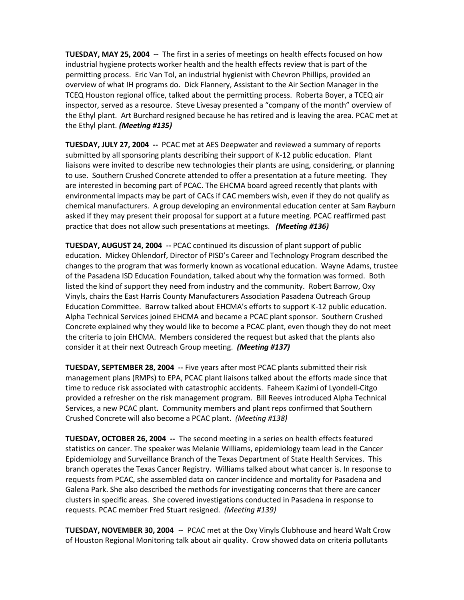**TUESDAY, MAY 25, 2004 --** The first in a series of meetings on health effects focused on how industrial hygiene protects worker health and the health effects review that is part of the permitting process. Eric Van Tol, an industrial hygienist with Chevron Phillips, provided an overview of what IH programs do. Dick Flannery, Assistant to the Air Section Manager in the TCEQ Houston regional office, talked about the permitting process. Roberta Boyer, a TCEQ air inspector, served as a resource. Steve Livesay presented a "company of the month" overview of the Ethyl plant. Art Burchard resigned because he has retired and is leaving the area. PCAC met at the Ethyl plant. *(Meeting #135)*

**TUESDAY, JULY 27, 2004 --** PCAC met at AES Deepwater and reviewed a summary of reports submitted by all sponsoring plants describing their support of K-12 public education. Plant liaisons were invited to describe new technologies their plants are using, considering, or planning to use. Southern Crushed Concrete attended to offer a presentation at a future meeting. They are interested in becoming part of PCAC. The EHCMA board agreed recently that plants with environmental impacts may be part of CACs if CAC members wish, even if they do not qualify as chemical manufacturers. A group developing an environmental education center at Sam Rayburn asked if they may present their proposal for support at a future meeting. PCAC reaffirmed past practice that does not allow such presentations at meetings. *(Meeting #136)*

**TUESDAY, AUGUST 24, 2004 --** PCAC continued its discussion of plant support of public education. Mickey Ohlendorf, Director of PISD's Career and Technology Program described the changes to the program that was formerly known as vocational education. Wayne Adams, trustee of the Pasadena ISD Education Foundation, talked about why the formation was formed. Both listed the kind of support they need from industry and the community. Robert Barrow, Oxy Vinyls, chairs the East Harris County Manufacturers Association Pasadena Outreach Group Education Committee. Barrow talked about EHCMA's efforts to support K-12 public education. Alpha Technical Services joined EHCMA and became a PCAC plant sponsor. Southern Crushed Concrete explained why they would like to become a PCAC plant, even though they do not meet the criteria to join EHCMA. Members considered the request but asked that the plants also consider it at their next Outreach Group meeting. *(Meeting #137)*

**TUESDAY, SEPTEMBER 28, 2004 --** Five years after most PCAC plants submitted their risk management plans (RMPs) to EPA, PCAC plant liaisons talked about the efforts made since that time to reduce risk associated with catastrophic accidents. Faheem Kazimi of Lyondell-Citgo provided a refresher on the risk management program. Bill Reeves introduced Alpha Technical Services, a new PCAC plant. Community members and plant reps confirmed that Southern Crushed Concrete will also become a PCAC plant. *(Meeting #138)*

**TUESDAY, OCTOBER 26, 2004 --** The second meeting in a series on health effects featured statistics on cancer. The speaker was Melanie Williams, epidemiology team lead in the Cancer Epidemiology and Surveillance Branch of the Texas Department of State Health Services. This branch operates the Texas Cancer Registry. Williams talked about what cancer is. In response to requests from PCAC, she assembled data on cancer incidence and mortality for Pasadena and Galena Park. She also described the methods for investigating concerns that there are cancer clusters in specific areas. She covered investigations conducted in Pasadena in response to requests. PCAC member Fred Stuart resigned. *(Meeting #139)*

**TUESDAY, NOVEMBER 30, 2004 --** PCAC met at the Oxy Vinyls Clubhouse and heard Walt Crow of Houston Regional Monitoring talk about air quality. Crow showed data on criteria pollutants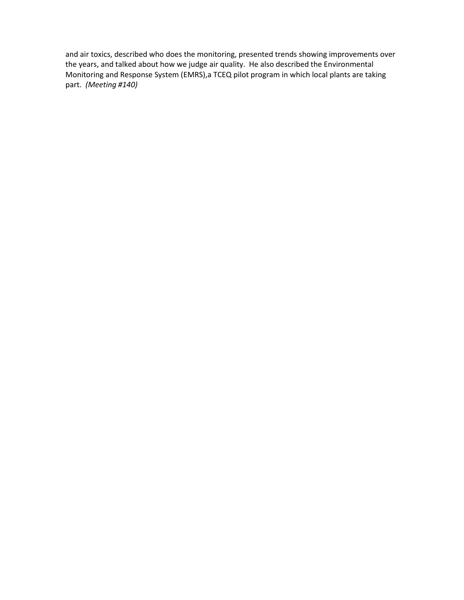and air toxics, described who does the monitoring, presented trends showing improvements over the years, and talked about how we judge air quality. He also described the Environmental Monitoring and Response System (EMRS),a TCEQ pilot program in which local plants are taking part. *(Meeting #140)*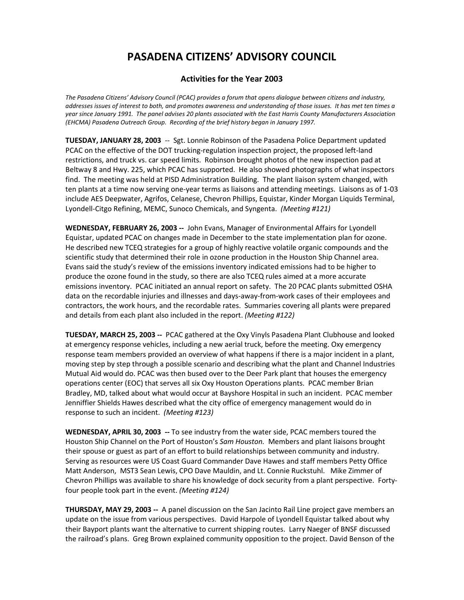### **Activities for the Year 2003**

*The Pasadena Citizens' Advisory Council (PCAC) provides a forum that opens dialogue between citizens and industry, addresses issues of interest to both, and promotes awareness and understanding of those issues. It has met ten times a year since January 1991. The panel advises 20 plants associated with the East Harris County Manufacturers Association (EHCMA) Pasadena Outreach Group. Recording of the brief history began in January 1997.*

**TUESDAY, JANUARY 28, 2003** -- Sgt. Lonnie Robinson of the Pasadena Police Department updated PCAC on the effective of the DOT trucking-regulation inspection project, the proposed left-land restrictions, and truck vs. car speed limits. Robinson brought photos of the new inspection pad at Beltway 8 and Hwy. 225, which PCAC has supported. He also showed photographs of what inspectors find. The meeting was held at PISD Administration Building. The plant liaison system changed, with ten plants at a time now serving one-year terms as liaisons and attending meetings. Liaisons as of 1-03 include AES Deepwater, Agrifos, Celanese, Chevron Phillips, Equistar, Kinder Morgan Liquids Terminal, Lyondell-Citgo Refining, MEMC, Sunoco Chemicals, and Syngenta. *(Meeting #121)*

**WEDNESDAY, FEBRUARY 26, 2003 --** John Evans, Manager of Environmental Affairs for Lyondell Equistar, updated PCAC on changes made in December to the state implementation plan for ozone. He described new TCEQ strategies for a group of highly reactive volatile organic compounds and the scientific study that determined their role in ozone production in the Houston Ship Channel area. Evans said the study's review of the emissions inventory indicated emissions had to be higher to produce the ozone found in the study, so there are also TCEQ rules aimed at a more accurate emissions inventory. PCAC initiated an annual report on safety. The 20 PCAC plants submitted OSHA data on the recordable injuries and illnesses and days-away-from-work cases of their employees and contractors, the work hours, and the recordable rates. Summaries covering all plants were prepared and details from each plant also included in the report. *(Meeting #122)*

**TUESDAY, MARCH 25, 2003 --** PCAC gathered at the Oxy Vinyls Pasadena Plant Clubhouse and looked at emergency response vehicles, including a new aerial truck, before the meeting. Oxy emergency response team members provided an overview of what happens if there is a major incident in a plant, moving step by step through a possible scenario and describing what the plant and Channel Industries Mutual Aid would do. PCAC was then bused over to the Deer Park plant that houses the emergency operations center (EOC) that serves all six Oxy Houston Operations plants. PCAC member Brian Bradley, MD, talked about what would occur at Bayshore Hospital in such an incident. PCAC member Jenniffier Shields Hawes described what the city office of emergency management would do in response to such an incident. *(Meeting #123)*

**WEDNESDAY, APRIL 30, 2003 --** To see industry from the water side, PCAC members toured the Houston Ship Channel on the Port of Houston's *Sam Houston.* Members and plant liaisons brought their spouse or guest as part of an effort to build relationships between community and industry. Serving as resources were US Coast Guard Commander Dave Hawes and staff members Petty Office Matt Anderson, MST3 Sean Lewis, CPO Dave Mauldin, and Lt. Connie Ruckstuhl. Mike Zimmer of Chevron Phillips was available to share his knowledge of dock security from a plant perspective. Fortyfour people took part in the event. *(Meeting #124)*

**THURSDAY, MAY 29, 2003 --** A panel discussion on the San Jacinto Rail Line project gave members an update on the issue from various perspectives. David Harpole of Lyondell Equistar talked about why their Bayport plants want the alternative to current shipping routes. Larry Naeger of BNSF discussed the railroad's plans. Greg Brown explained community opposition to the project. David Benson of the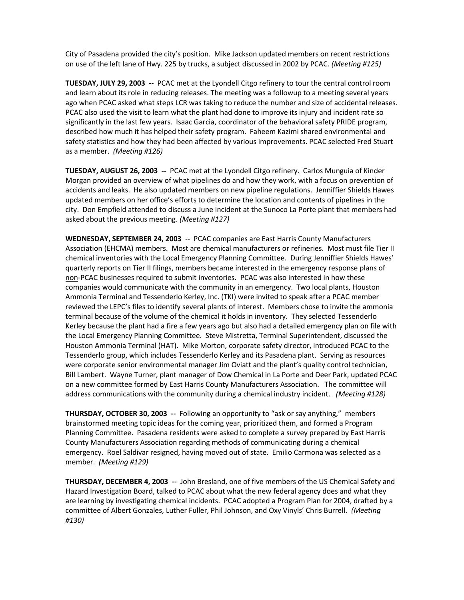City of Pasadena provided the city's position. Mike Jackson updated members on recent restrictions on use of the left lane of Hwy. 225 by trucks, a subject discussed in 2002 by PCAC. *(Meeting #125)*

**TUESDAY, JULY 29, 2003 --** PCAC met at the Lyondell Citgo refinery to tour the central control room and learn about its role in reducing releases. The meeting was a followup to a meeting several years ago when PCAC asked what steps LCR was taking to reduce the number and size of accidental releases. PCAC also used the visit to learn what the plant had done to improve its injury and incident rate so significantly in the last few years. Isaac Garcia, coordinator of the behavioral safety PRIDE program, described how much it has helped their safety program. Faheem Kazimi shared environmental and safety statistics and how they had been affected by various improvements. PCAC selected Fred Stuart as a member. *(Meeting #126)*

**TUESDAY, AUGUST 26, 2003 --** PCAC met at the Lyondell Citgo refinery. Carlos Munguia of Kinder Morgan provided an overview of what pipelines do and how they work, with a focus on prevention of accidents and leaks. He also updated members on new pipeline regulations. Jenniffier Shields Hawes updated members on her office's efforts to determine the location and contents of pipelines in the city. Don Empfield attended to discuss a June incident at the Sunoco La Porte plant that members had asked about the previous meeting. *(Meeting #127)*

**WEDNESDAY, SEPTEMBER 24, 2003** -- PCAC companies are East Harris County Manufacturers Association (EHCMA) members. Most are chemical manufacturers or refineries. Most must file Tier II chemical inventories with the Local Emergency Planning Committee. During Jenniffier Shields Hawes' quarterly reports on Tier II filings, members became interested in the emergency response plans of non-PCAC businesses required to submit inventories. PCAC was also interested in how these companies would communicate with the community in an emergency. Two local plants, Houston Ammonia Terminal and Tessenderlo Kerley, Inc. (TKI) were invited to speak after a PCAC member reviewed the LEPC's files to identify several plants of interest. Members chose to invite the ammonia terminal because of the volume of the chemical it holds in inventory. They selected Tessenderlo Kerley because the plant had a fire a few years ago but also had a detailed emergency plan on file with the Local Emergency Planning Committee. Steve Mistretta, Terminal Superintendent, discussed the Houston Ammonia Terminal (HAT). Mike Morton, corporate safety director, introduced PCAC to the Tessenderlo group, which includes Tessenderlo Kerley and its Pasadena plant. Serving as resources were corporate senior environmental manager Jim Oviatt and the plant's quality control technician, Bill Lambert. Wayne Turner, plant manager of Dow Chemical in La Porte and Deer Park, updated PCAC on a new committee formed by East Harris County Manufacturers Association. The committee will address communications with the community during a chemical industry incident. *(Meeting #128)*

**THURSDAY, OCTOBER 30, 2003 --** Following an opportunity to "ask or say anything," members brainstormed meeting topic ideas for the coming year, prioritized them, and formed a Program Planning Committee. Pasadena residents were asked to complete a survey prepared by East Harris County Manufacturers Association regarding methods of communicating during a chemical emergency. Roel Saldivar resigned, having moved out of state. Emilio Carmona was selected as a member. *(Meeting #129)*

**THURSDAY, DECEMBER 4, 2003 --** John Bresland, one of five members of the US Chemical Safety and Hazard Investigation Board, talked to PCAC about what the new federal agency does and what they are learning by investigating chemical incidents. PCAC adopted a Program Plan for 2004, drafted by a committee of Albert Gonzales, Luther Fuller, Phil Johnson, and Oxy Vinyls' Chris Burrell. *(Meeting #130)*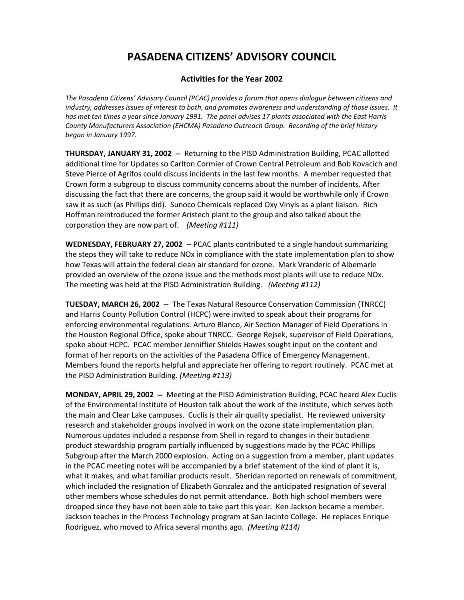### **Activities for the Year 2002**

*The Pasadena Citizens' Advisory Council (PCAC) provides a forum that opens dialogue between citizens and industry, addresses issues of interest to both, and promotes awareness and understanding of those issues. It has met ten times a year since January 1991. The panel advises 17 plants associated with the East Harris County Manufacturers Association (EHCMA) Pasadena Outreach Group. Recording of the brief history began in January 1997.*

**THURSDAY, JANUARY 31, 2002 --** Returning to the PISD Administration Building, PCAC allotted additional time for Updates so Carlton Cormier of Crown Central Petroleum and Bob Kovacich and Steve Pierce of Agrifos could discuss incidents in the last few months. A member requested that Crown form a subgroup to discuss community concerns about the number of incidents. After discussing the fact that there are concerns, the group said it would be worthwhile only if Crown saw it as such (as Phillips did). Sunoco Chemicals replaced Oxy Vinyls as a plant liaison. Rich Hoffman reintroduced the former Aristech plant to the group and also talked about the corporation they are now part of. *(Meeting #111)*

**WEDNESDAY, FEBRUARY 27, 2002 --** PCAC plants contributed to a single handout summarizing the steps they will take to reduce NOx in compliance with the state implementation plan to show how Texas will attain the federal clean air standard for ozone. Mark Vranderic of Albemarle provided an overview of the ozone issue and the methods most plants will use to reduce NOx. The meeting was held at the PISD Administration Building. *(Meeting #112)*

**TUESDAY, MARCH 26, 2002 --** The Texas Natural Resource Conservation Commission (TNRCC) and Harris County Pollution Control (HCPC) were invited to speak about their programs for enforcing environmental regulations. Arturo Blanco, Air Section Manager of Field Operations in the Houston Regional Office, spoke about TNRCC. George Rejsek, supervisor of Field Operations, spoke about HCPC. PCAC member Jenniffier Shields Hawes sought input on the content and format of her reports on the activities of the Pasadena Office of Emergency Management. Members found the reports helpful and appreciate her offering to report routinely. PCAC met at the PISD Administration Building. *(Meeting #113)*

**MONDAY, APRIL 29, 2002 --** Meeting at the PISD Administration Building, PCAC heard Alex Cuclis of the Environmental Institute of Houston talk about the work of the institute, which serves both the main and Clear Lake campuses. Cuclis is their air quality specialist. He reviewed university research and stakeholder groups involved in work on the ozone state implementation plan. Numerous updates included a response from Shell in regard to changes in their butadiene product stewardship program partially influenced by suggestions made by the PCAC Phillips Subgroup after the March 2000 explosion. Acting on a suggestion from a member, plant updates in the PCAC meeting notes will be accompanied by a brief statement of the kind of plant it is, what it makes, and what familiar products result. Sheridan reported on renewals of commitment, which included the resignation of Elizabeth Gonzalez and the anticipated resignation of several other members whose schedules do not permit attendance. Both high school members were dropped since they have not been able to take part this year. Ken Jackson became a member. Jackson teaches in the Process Technology program at San Jacinto College. He replaces Enrique Rodriguez, who moved to Africa several months ago. *(Meeting #114)*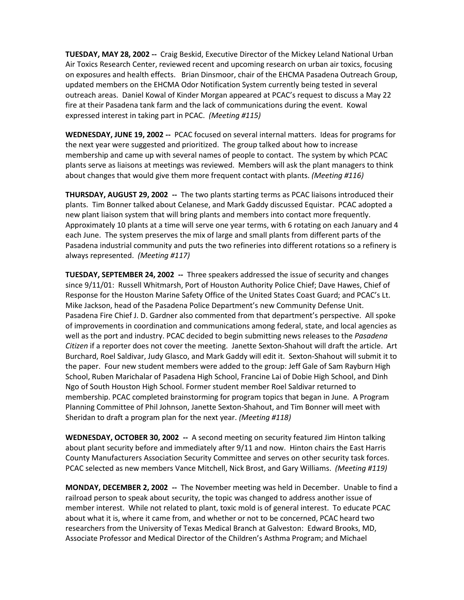**TUESDAY, MAY 28, 2002 --** Craig Beskid, Executive Director of the Mickey Leland National Urban Air Toxics Research Center, reviewed recent and upcoming research on urban air toxics, focusing on exposures and health effects. Brian Dinsmoor, chair of the EHCMA Pasadena Outreach Group, updated members on the EHCMA Odor Notification System currently being tested in several outreach areas. Daniel Kowal of Kinder Morgan appeared at PCAC's request to discuss a May 22 fire at their Pasadena tank farm and the lack of communications during the event. Kowal expressed interest in taking part in PCAC. *(Meeting #115)*

**WEDNESDAY, JUNE 19, 2002 --** PCAC focused on several internal matters. Ideas for programs for the next year were suggested and prioritized. The group talked about how to increase membership and came up with several names of people to contact. The system by which PCAC plants serve as liaisons at meetings was reviewed. Members will ask the plant managers to think about changes that would give them more frequent contact with plants. *(Meeting #116)*

**THURSDAY, AUGUST 29, 2002 --** The two plants starting terms as PCAC liaisons introduced their plants. Tim Bonner talked about Celanese, and Mark Gaddy discussed Equistar. PCAC adopted a new plant liaison system that will bring plants and members into contact more frequently. Approximately 10 plants at a time will serve one year terms, with 6 rotating on each January and 4 each June. The system preserves the mix of large and small plants from different parts of the Pasadena industrial community and puts the two refineries into different rotations so a refinery is always represented. *(Meeting #117)*

**TUESDAY, SEPTEMBER 24, 2002 --** Three speakers addressed the issue of security and changes since 9/11/01: Russell Whitmarsh, Port of Houston Authority Police Chief; Dave Hawes, Chief of Response for the Houston Marine Safety Office of the United States Coast Guard; and PCAC's Lt. Mike Jackson, head of the Pasadena Police Department's new Community Defense Unit. Pasadena Fire Chief J. D. Gardner also commented from that department's perspective. All spoke of improvements in coordination and communications among federal, state, and local agencies as well as the port and industry. PCAC decided to begin submitting news releases to the *Pasadena Citizen* if a reporter does not cover the meeting. Janette Sexton-Shahout will draft the article. Art Burchard, Roel Saldivar, Judy Glasco, and Mark Gaddy will edit it. Sexton-Shahout will submit it to the paper. Four new student members were added to the group: Jeff Gale of Sam Rayburn High School, Ruben Marichalar of Pasadena High School, Francine Lai of Dobie High School, and Dinh Ngo of South Houston High School. Former student member Roel Saldivar returned to membership. PCAC completed brainstorming for program topics that began in June. A Program Planning Committee of Phil Johnson, Janette Sexton-Shahout, and Tim Bonner will meet with Sheridan to draft a program plan for the next year. *(Meeting #118)*

**WEDNESDAY, OCTOBER 30, 2002 --** A second meeting on security featured Jim Hinton talking about plant security before and immediately after 9/11 and now. Hinton chairs the East Harris County Manufacturers Association Security Committee and serves on other security task forces. PCAC selected as new members Vance Mitchell, Nick Brost, and Gary Williams. *(Meeting #119)*

**MONDAY, DECEMBER 2, 2002 --** The November meeting was held in December. Unable to find a railroad person to speak about security, the topic was changed to address another issue of member interest. While not related to plant, toxic mold is of general interest. To educate PCAC about what it is, where it came from, and whether or not to be concerned, PCAC heard two researchers from the University of Texas Medical Branch at Galveston: Edward Brooks, MD, Associate Professor and Medical Director of the Children's Asthma Program; and Michael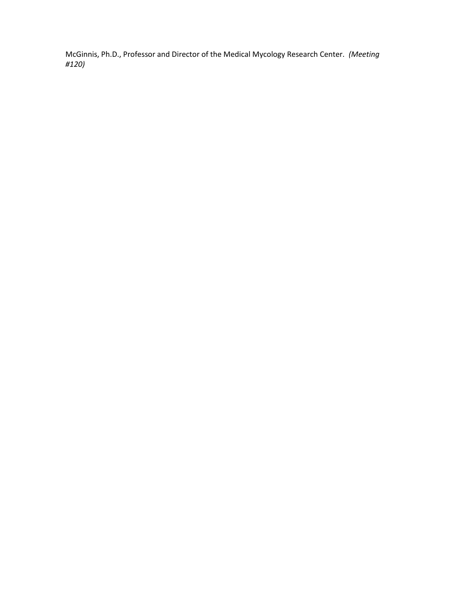McGinnis, Ph.D., Professor and Director of the Medical Mycology Research Center. *(Meeting #120)*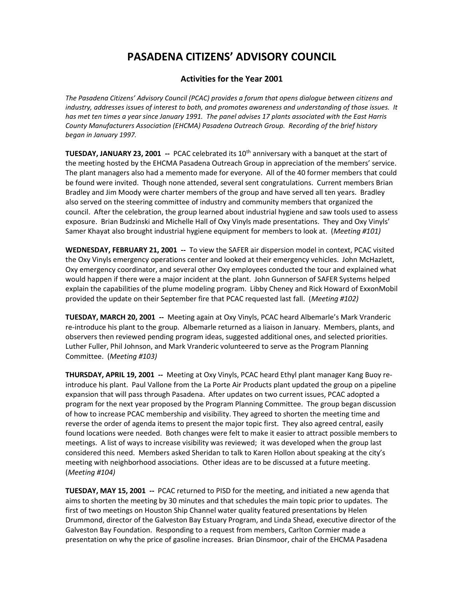### **Activities for the Year 2001**

*The Pasadena Citizens' Advisory Council (PCAC) provides a forum that opens dialogue between citizens and industry, addresses issues of interest to both, and promotes awareness and understanding of those issues. It has met ten times a year since January 1991. The panel advises 17 plants associated with the East Harris County Manufacturers Association (EHCMA) Pasadena Outreach Group. Recording of the brief history began in January 1997.*

**TUESDAY, JANUARY 23, 2001 -- PCAC celebrated its 10<sup>th</sup> anniversary with a banquet at the start of** the meeting hosted by the EHCMA Pasadena Outreach Group in appreciation of the members' service. The plant managers also had a memento made for everyone. All of the 40 former members that could be found were invited. Though none attended, several sent congratulations. Current members Brian Bradley and Jim Moody were charter members of the group and have served all ten years. Bradley also served on the steering committee of industry and community members that organized the council. After the celebration, the group learned about industrial hygiene and saw tools used to assess exposure. Brian Budzinski and Michelle Hall of Oxy Vinyls made presentations. They and Oxy Vinyls' Samer Khayat also brought industrial hygiene equipment for members to look at. (*Meeting #101)*

**WEDNESDAY, FEBRUARY 21, 2001 --** To view the SAFER air dispersion model in context, PCAC visited the Oxy Vinyls emergency operations center and looked at their emergency vehicles. John McHazlett, Oxy emergency coordinator, and several other Oxy employees conducted the tour and explained what would happen if there were a major incident at the plant. John Gunnerson of SAFER Systems helped explain the capabilities of the plume modeling program. Libby Cheney and Rick Howard of ExxonMobil provided the update on their September fire that PCAC requested last fall. (*Meeting #102)*

**TUESDAY, MARCH 20, 2001 --** Meeting again at Oxy Vinyls, PCAC heard Albemarle's Mark Vranderic re-introduce his plant to the group. Albemarle returned as a liaison in January. Members, plants, and observers then reviewed pending program ideas, suggested additional ones, and selected priorities. Luther Fuller, Phil Johnson, and Mark Vranderic volunteered to serve as the Program Planning Committee. (*Meeting #103)*

**THURSDAY, APRIL 19, 2001 --** Meeting at Oxy Vinyls, PCAC heard Ethyl plant manager Kang Buoy reintroduce his plant. Paul Vallone from the La Porte Air Products plant updated the group on a pipeline expansion that will pass through Pasadena. After updates on two current issues, PCAC adopted a program for the next year proposed by the Program Planning Committee. The group began discussion of how to increase PCAC membership and visibility. They agreed to shorten the meeting time and reverse the order of agenda items to present the major topic first. They also agreed central, easily found locations were needed. Both changes were felt to make it easier to attract possible members to meetings. A list of ways to increase visibility was reviewed; it was developed when the group last considered this need. Members asked Sheridan to talk to Karen Hollon about speaking at the city's meeting with neighborhood associations. Other ideas are to be discussed at a future meeting. (*Meeting #104)*

**TUESDAY, MAY 15, 2001 --** PCAC returned to PISD for the meeting, and initiated a new agenda that aims to shorten the meeting by 30 minutes and that schedules the main topic prior to updates. The first of two meetings on Houston Ship Channel water quality featured presentations by Helen Drummond, director of the Galveston Bay Estuary Program, and Linda Shead, executive director of the Galveston Bay Foundation. Responding to a request from members, Carlton Cormier made a presentation on why the price of gasoline increases. Brian Dinsmoor, chair of the EHCMA Pasadena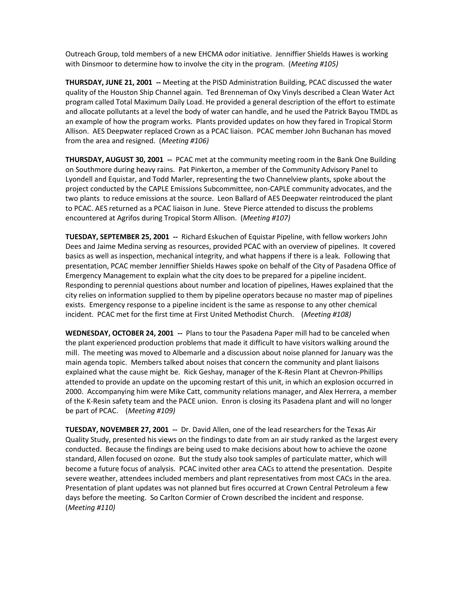Outreach Group, told members of a new EHCMA odor initiative. Jenniffier Shields Hawes is working with Dinsmoor to determine how to involve the city in the program. (*Meeting #105)*

**THURSDAY, JUNE 21, 2001 --** Meeting at the PISD Administration Building, PCAC discussed the water quality of the Houston Ship Channel again. Ted Brenneman of Oxy Vinyls described a Clean Water Act program called Total Maximum Daily Load. He provided a general description of the effort to estimate and allocate pollutants at a level the body of water can handle, and he used the Patrick Bayou TMDL as an example of how the program works. Plants provided updates on how they fared in Tropical Storm Allison. AES Deepwater replaced Crown as a PCAC liaison. PCAC member John Buchanan has moved from the area and resigned. (*Meeting #106)*

**THURSDAY, AUGUST 30, 2001 --** PCAC met at the community meeting room in the Bank One Building on Southmore during heavy rains. Pat Pinkerton, a member of the Community Advisory Panel to Lyondell and Equistar, and Todd Marler, representing the two Channelview plants, spoke about the project conducted by the CAPLE Emissions Subcommittee, non-CAPLE community advocates, and the two plants to reduce emissions at the source. Leon Ballard of AES Deepwater reintroduced the plant to PCAC. AES returned as a PCAC liaison in June. Steve Pierce attended to discuss the problems encountered at Agrifos during Tropical Storm Allison. (*Meeting #107)*

**TUESDAY, SEPTEMBER 25, 2001 --** Richard Eskuchen of Equistar Pipeline, with fellow workers John Dees and Jaime Medina serving as resources, provided PCAC with an overview of pipelines. It covered basics as well as inspection, mechanical integrity, and what happens if there is a leak. Following that presentation, PCAC member Jenniffier Shields Hawes spoke on behalf of the City of Pasadena Office of Emergency Management to explain what the city does to be prepared for a pipeline incident. Responding to perennial questions about number and location of pipelines, Hawes explained that the city relies on information supplied to them by pipeline operators because no master map of pipelines exists. Emergency response to a pipeline incident is the same as response to any other chemical incident. PCAC met for the first time at First United Methodist Church. (*Meeting #108)*

**WEDNESDAY, OCTOBER 24, 2001 --** Plans to tour the Pasadena Paper mill had to be canceled when the plant experienced production problems that made it difficult to have visitors walking around the mill. The meeting was moved to Albemarle and a discussion about noise planned for January was the main agenda topic. Members talked about noises that concern the community and plant liaisons explained what the cause might be. Rick Geshay, manager of the K-Resin Plant at Chevron-Phillips attended to provide an update on the upcoming restart of this unit, in which an explosion occurred in 2000. Accompanying him were Mike Catt, community relations manager, and Alex Herrera, a member of the K-Resin safety team and the PACE union. Enron is closing its Pasadena plant and will no longer be part of PCAC. (*Meeting #109)*

**TUESDAY, NOVEMBER 27, 2001 --** Dr. David Allen, one of the lead researchers for the Texas Air Quality Study, presented his views on the findings to date from an air study ranked as the largest every conducted. Because the findings are being used to make decisions about how to achieve the ozone standard, Allen focused on ozone. But the study also took samples of particulate matter, which will become a future focus of analysis. PCAC invited other area CACs to attend the presentation. Despite severe weather, attendees included members and plant representatives from most CACs in the area. Presentation of plant updates was not planned but fires occurred at Crown Central Petroleum a few days before the meeting. So Carlton Cormier of Crown described the incident and response. (*Meeting #110)*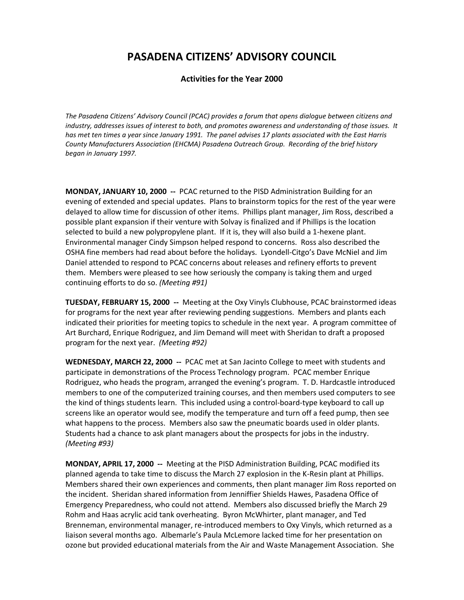### **Activities for the Year 2000**

*The Pasadena Citizens' Advisory Council (PCAC) provides a forum that opens dialogue between citizens and industry, addresses issues of interest to both, and promotes awareness and understanding of those issues. It has met ten times a year since January 1991. The panel advises 17 plants associated with the East Harris County Manufacturers Association (EHCMA) Pasadena Outreach Group. Recording of the brief history began in January 1997.*

**MONDAY, JANUARY 10, 2000 --** PCAC returned to the PISD Administration Building for an evening of extended and special updates. Plans to brainstorm topics for the rest of the year were delayed to allow time for discussion of other items. Phillips plant manager, Jim Ross, described a possible plant expansion if their venture with Solvay is finalized and if Phillips is the location selected to build a new polypropylene plant. If it is, they will also build a 1-hexene plant. Environmental manager Cindy Simpson helped respond to concerns. Ross also described the OSHA fine members had read about before the holidays. Lyondell-Citgo's Dave McNiel and Jim Daniel attended to respond to PCAC concerns about releases and refinery efforts to prevent them. Members were pleased to see how seriously the company is taking them and urged continuing efforts to do so. *(Meeting #91)*

**TUESDAY, FEBRUARY 15, 2000 --** Meeting at the Oxy Vinyls Clubhouse, PCAC brainstormed ideas for programs for the next year after reviewing pending suggestions. Members and plants each indicated their priorities for meeting topics to schedule in the next year. A program committee of Art Burchard, Enrique Rodriguez, and Jim Demand will meet with Sheridan to draft a proposed program for the next year. *(Meeting #92)*

**WEDNESDAY, MARCH 22, 2000 --** PCAC met at San Jacinto College to meet with students and participate in demonstrations of the Process Technology program. PCAC member Enrique Rodriguez, who heads the program, arranged the evening's program. T. D. Hardcastle introduced members to one of the computerized training courses, and then members used computers to see the kind of things students learn. This included using a control-board-type keyboard to call up screens like an operator would see, modify the temperature and turn off a feed pump, then see what happens to the process. Members also saw the pneumatic boards used in older plants. Students had a chance to ask plant managers about the prospects for jobs in the industry. *(Meeting #93)*

**MONDAY, APRIL 17, 2000 --** Meeting at the PISD Administration Building, PCAC modified its planned agenda to take time to discuss the March 27 explosion in the K-Resin plant at Phillips. Members shared their own experiences and comments, then plant manager Jim Ross reported on the incident. Sheridan shared information from Jenniffier Shields Hawes, Pasadena Office of Emergency Preparedness, who could not attend. Members also discussed briefly the March 29 Rohm and Haas acrylic acid tank overheating. Byron McWhirter, plant manager, and Ted Brenneman, environmental manager, re-introduced members to Oxy Vinyls, which returned as a liaison several months ago. Albemarle's Paula McLemore lacked time for her presentation on ozone but provided educational materials from the Air and Waste Management Association. She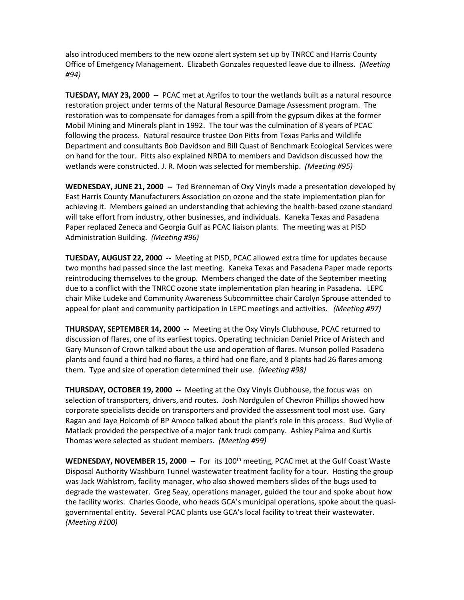also introduced members to the new ozone alert system set up by TNRCC and Harris County Office of Emergency Management. Elizabeth Gonzales requested leave due to illness. *(Meeting #94)*

**TUESDAY, MAY 23, 2000 --** PCAC met at Agrifos to tour the wetlands built as a natural resource restoration project under terms of the Natural Resource Damage Assessment program. The restoration was to compensate for damages from a spill from the gypsum dikes at the former Mobil Mining and Minerals plant in 1992. The tour was the culmination of 8 years of PCAC following the process. Natural resource trustee Don Pitts from Texas Parks and Wildlife Department and consultants Bob Davidson and Bill Quast of Benchmark Ecological Services were on hand for the tour. Pitts also explained NRDA to members and Davidson discussed how the wetlands were constructed. J. R. Moon was selected for membership. *(Meeting #95)*

**WEDNESDAY, JUNE 21, 2000 --** Ted Brenneman of Oxy Vinyls made a presentation developed by East Harris County Manufacturers Association on ozone and the state implementation plan for achieving it. Members gained an understanding that achieving the health-based ozone standard will take effort from industry, other businesses, and individuals. Kaneka Texas and Pasadena Paper replaced Zeneca and Georgia Gulf as PCAC liaison plants. The meeting was at PISD Administration Building. *(Meeting #96)*

**TUESDAY, AUGUST 22, 2000 --** Meeting at PISD, PCAC allowed extra time for updates because two months had passed since the last meeting. Kaneka Texas and Pasadena Paper made reports reintroducing themselves to the group. Members changed the date of the September meeting due to a conflict with the TNRCC ozone state implementation plan hearing in Pasadena. LEPC chair Mike Ludeke and Community Awareness Subcommittee chair Carolyn Sprouse attended to appeal for plant and community participation in LEPC meetings and activities. *(Meeting #97)*

**THURSDAY, SEPTEMBER 14, 2000 --** Meeting at the Oxy Vinyls Clubhouse, PCAC returned to discussion of flares, one of its earliest topics. Operating technician Daniel Price of Aristech and Gary Munson of Crown talked about the use and operation of flares. Munson polled Pasadena plants and found a third had no flares, a third had one flare, and 8 plants had 26 flares among them. Type and size of operation determined their use. *(Meeting #98)*

**THURSDAY, OCTOBER 19, 2000 --** Meeting at the Oxy Vinyls Clubhouse, the focus was on selection of transporters, drivers, and routes. Josh Nordgulen of Chevron Phillips showed how corporate specialists decide on transporters and provided the assessment tool most use. Gary Ragan and Jaye Holcomb of BP Amoco talked about the plant's role in this process. Bud Wylie of Matlack provided the perspective of a major tank truck company. Ashley Palma and Kurtis Thomas were selected as student members. *(Meeting #99)*

**WEDNESDAY, NOVEMBER 15, 2000 -- For its 100th meeting, PCAC met at the Gulf Coast Waste** Disposal Authority Washburn Tunnel wastewater treatment facility for a tour. Hosting the group was Jack Wahlstrom, facility manager, who also showed members slides of the bugs used to degrade the wastewater. Greg Seay, operations manager, guided the tour and spoke about how the facility works. Charles Goode, who heads GCA's municipal operations, spoke about the quasigovernmental entity. Several PCAC plants use GCA's local facility to treat their wastewater. *(Meeting #100)*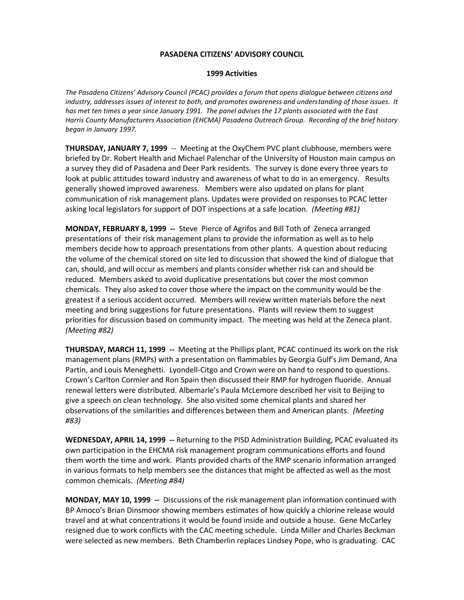### **1999 Activities**

*The Pasadena Citizens' Advisory Council (PCAC) provides a forum that opens dialogue between citizens and industry, addresses issues of interest to both, and promotes awareness and understanding of those issues. It has met ten times a year since January 1991. The panel advises the 17 plants associated with the East Harris County Manufacturers Association (EHCMA) Pasadena Outreach Group. Recording of the brief history began in January 1997.*

**THURSDAY, JANUARY 7, 1999** -- Meeting at the OxyChem PVC plant clubhouse, members were briefed by Dr. Robert Health and Michael Palenchar of the University of Houston main campus on a survey they did of Pasadena and Deer Park residents. The survey is done every three years to look at public attitudes toward industry and awareness of what to do in an emergency. Results generally showed improved awareness. Members were also updated on plans for plant communication of risk management plans. Updates were provided on responses to PCAC letter asking local legislators for support of DOT inspections at a safe location. *(Meeting #81)*

**MONDAY, FEBRUARY 8, 1999 --** Steve Pierce of Agrifos and Bill Toth of Zeneca arranged presentations of their risk management plans to provide the information as well as to help members decide how to approach presentations from other plants. A question about reducing the volume of the chemical stored on site led to discussion that showed the kind of dialogue that can, should, and will occur as members and plants consider whether risk can and should be reduced. Members asked to avoid duplicative presentations but cover the most common chemicals. They also asked to cover those where the impact on the community would be the greatest if a serious accident occurred. Members will review written materials before the next meeting and bring suggestions for future presentations. Plants will review them to suggest priorities for discussion based on community impact. The meeting was held at the Zeneca plant. *(Meeting #82)*

**THURSDAY, MARCH 11, 1999 --** Meeting at the Phillips plant, PCAC continued its work on the risk management plans (RMPs) with a presentation on flammables by Georgia Gulf's Jim Demand, Ana Partin, and Louis Meneghetti. Lyondell-Citgo and Crown were on hand to respond to questions. Crown's Carlton Cormier and Ron Spain then discussed their RMP for hydrogen fluoride. Annual renewal letters were distributed. Albemarle's Paula McLemore described her visit to Beijing to give a speech on clean technology. She also visited some chemical plants and shared her observations of the similarities and differences between them and American plants. *(Meeting #83)*

**WEDNESDAY, APRIL 14, 1999 --** Returning to the PISD Administration Building, PCAC evaluated its own participation in the EHCMA risk management program communications efforts and found them worth the time and work. Plants provided charts of the RMP scenario information arranged in various formats to help members see the distances that might be affected as well as the most common chemicals. *(Meeting #84)*

**MONDAY, MAY 10, 1999 --** Discussions of the risk management plan information continued with BP Amoco's Brian Dinsmoor showing members estimates of how quickly a chlorine release would travel and at what concentrations it would be found inside and outside a house. Gene McCarley resigned due to work conflicts with the CAC meeting schedule. Linda Miller and Charles Beckman were selected as new members. Beth Chamberlin replaces Lindsey Pope, who is graduating. CAC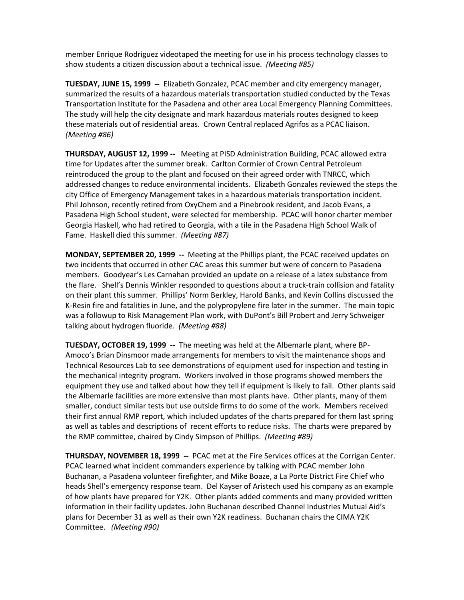member Enrique Rodriguez videotaped the meeting for use in his process technology classes to show students a citizen discussion about a technical issue. *(Meeting #85)*

**TUESDAY, JUNE 15, 1999 --** Elizabeth Gonzalez, PCAC member and city emergency manager, summarized the results of a hazardous materials transportation studied conducted by the Texas Transportation Institute for the Pasadena and other area Local Emergency Planning Committees. The study will help the city designate and mark hazardous materials routes designed to keep these materials out of residential areas. Crown Central replaced Agrifos as a PCAC liaison. *(Meeting #86)*

**THURSDAY, AUGUST 12, 1999 --** Meeting at PISD Administration Building, PCAC allowed extra time for Updates after the summer break. Carlton Cormier of Crown Central Petroleum reintroduced the group to the plant and focused on their agreed order with TNRCC, which addressed changes to reduce environmental incidents. Elizabeth Gonzales reviewed the steps the city Office of Emergency Management takes in a hazardous materials transportation incident. Phil Johnson, recently retired from OxyChem and a Pinebrook resident, and Jacob Evans, a Pasadena High School student, were selected for membership. PCAC will honor charter member Georgia Haskell, who had retired to Georgia, with a tile in the Pasadena High School Walk of Fame. Haskell died this summer. *(Meeting #87)*

**MONDAY, SEPTEMBER 20, 1999 --** Meeting at the Phillips plant, the PCAC received updates on two incidents that occurred in other CAC areas this summer but were of concern to Pasadena members. Goodyear's Les Carnahan provided an update on a release of a latex substance from the flare. Shell's Dennis Winkler responded to questions about a truck-train collision and fatality on their plant this summer. Phillips' Norm Berkley, Harold Banks, and Kevin Collins discussed the K-Resin fire and fatalities in June, and the polypropylene fire later in the summer. The main topic was a followup to Risk Management Plan work, with DuPont's Bill Probert and Jerry Schweiger talking about hydrogen fluoride. *(Meeting #88)*

**TUESDAY, OCTOBER 19, 1999 --** The meeting was held at the Albemarle plant, where BP-Amoco's Brian Dinsmoor made arrangements for members to visit the maintenance shops and Technical Resources Lab to see demonstrations of equipment used for inspection and testing in the mechanical integrity program. Workers involved in those programs showed members the equipment they use and talked about how they tell if equipment is likely to fail. Other plants said the Albemarle facilities are more extensive than most plants have. Other plants, many of them smaller, conduct similar tests but use outside firms to do some of the work. Members received their first annual RMP report, which included updates of the charts prepared for them last spring as well as tables and descriptions of recent efforts to reduce risks. The charts were prepared by the RMP committee, chaired by Cindy Simpson of Phillips. *(Meeting #89)*

**THURSDAY, NOVEMBER 18, 1999 --** PCAC met at the Fire Services offices at the Corrigan Center. PCAC learned what incident commanders experience by talking with PCAC member John Buchanan, a Pasadena volunteer firefighter, and Mike Boaze, a La Porte District Fire Chief who heads Shell's emergency response team. Del Kayser of Aristech used his company as an example of how plants have prepared for Y2K. Other plants added comments and many provided written information in their facility updates. John Buchanan described Channel Industries Mutual Aid's plans for December 31 as well as their own Y2K readiness. Buchanan chairs the CIMA Y2K Committee. *(Meeting #90)*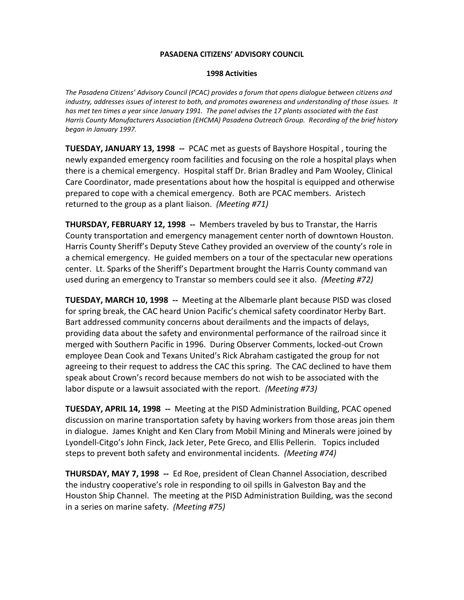### **1998 Activities**

*The Pasadena Citizens' Advisory Council (PCAC) provides a forum that opens dialogue between citizens and industry, addresses issues of interest to both, and promotes awareness and understanding of those issues. It has met ten times a year since January 1991. The panel advises the 17 plants associated with the East Harris County Manufacturers Association (EHCMA) Pasadena Outreach Group. Recording of the brief history began in January 1997.*

**TUESDAY, JANUARY 13, 1998 --** PCAC met as guests of Bayshore Hospital , touring the newly expanded emergency room facilities and focusing on the role a hospital plays when there is a chemical emergency. Hospital staff Dr. Brian Bradley and Pam Wooley, Clinical Care Coordinator, made presentations about how the hospital is equipped and otherwise prepared to cope with a chemical emergency. Both are PCAC members. Aristech returned to the group as a plant liaison. *(Meeting #71)*

**THURSDAY, FEBRUARY 12, 1998 --** Members traveled by bus to Transtar, the Harris County transportation and emergency management center north of downtown Houston. Harris County Sheriff's Deputy Steve Cathey provided an overview of the county's role in a chemical emergency. He guided members on a tour of the spectacular new operations center. Lt. Sparks of the Sheriff's Department brought the Harris County command van used during an emergency to Transtar so members could see it also. *(Meeting #72)*

**TUESDAY, MARCH 10, 1998 --** Meeting at the Albemarle plant because PISD was closed for spring break, the CAC heard Union Pacific's chemical safety coordinator Herby Bart. Bart addressed community concerns about derailments and the impacts of delays, providing data about the safety and environmental performance of the railroad since it merged with Southern Pacific in 1996. During Observer Comments, locked-out Crown employee Dean Cook and Texans United's Rick Abraham castigated the group for not agreeing to their request to address the CAC this spring. The CAC declined to have them speak about Crown's record because members do not wish to be associated with the labor dispute or a lawsuit associated with the report. *(Meeting #73)*

**TUESDAY, APRIL 14, 1998 --** Meeting at the PISD Administration Building, PCAC opened discussion on marine transportation safety by having workers from those areas join them in dialogue. James Knight and Ken Clary from Mobil Mining and Minerals were joined by Lyondell-Citgo's John Finck, Jack Jeter, Pete Greco, and Ellis Pellerin. Topics included steps to prevent both safety and environmental incidents. *(Meeting #74)*

**THURSDAY, MAY 7, 1998 --** Ed Roe, president of Clean Channel Association, described the industry cooperative's role in responding to oil spills in Galveston Bay and the Houston Ship Channel. The meeting at the PISD Administration Building, was the second in a series on marine safety. *(Meeting #75)*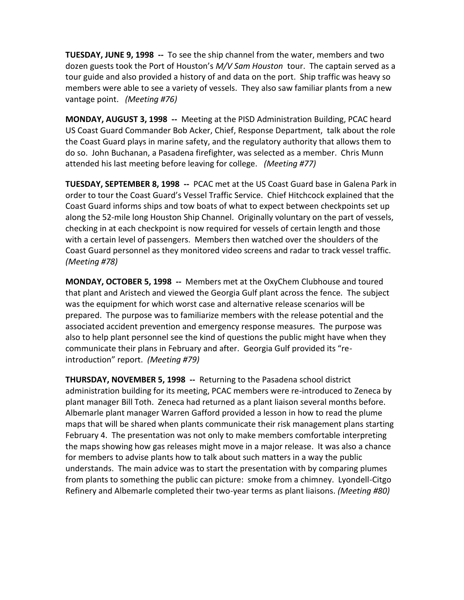**TUESDAY, JUNE 9, 1998 --** To see the ship channel from the water, members and two dozen guests took the Port of Houston's *M/V Sam Houston* tour. The captain served as a tour guide and also provided a history of and data on the port. Ship traffic was heavy so members were able to see a variety of vessels. They also saw familiar plants from a new vantage point. *(Meeting #76)*

**MONDAY, AUGUST 3, 1998 --** Meeting at the PISD Administration Building, PCAC heard US Coast Guard Commander Bob Acker, Chief, Response Department, talk about the role the Coast Guard plays in marine safety, and the regulatory authority that allows them to do so. John Buchanan, a Pasadena firefighter, was selected as a member. Chris Munn attended his last meeting before leaving for college. *(Meeting #77)*

**TUESDAY, SEPTEMBER 8, 1998 --** PCAC met at the US Coast Guard base in Galena Park in order to tour the Coast Guard's Vessel Traffic Service. Chief Hitchcock explained that the Coast Guard informs ships and tow boats of what to expect between checkpoints set up along the 52-mile long Houston Ship Channel. Originally voluntary on the part of vessels, checking in at each checkpoint is now required for vessels of certain length and those with a certain level of passengers. Members then watched over the shoulders of the Coast Guard personnel as they monitored video screens and radar to track vessel traffic. *(Meeting #78)*

**MONDAY, OCTOBER 5, 1998 --** Members met at the OxyChem Clubhouse and toured that plant and Aristech and viewed the Georgia Gulf plant across the fence. The subject was the equipment for which worst case and alternative release scenarios will be prepared. The purpose was to familiarize members with the release potential and the associated accident prevention and emergency response measures. The purpose was also to help plant personnel see the kind of questions the public might have when they communicate their plans in February and after. Georgia Gulf provided its "reintroduction" report. *(Meeting #79)*

**THURSDAY, NOVEMBER 5, 1998 --** Returning to the Pasadena school district administration building for its meeting, PCAC members were re-introduced to Zeneca by plant manager Bill Toth. Zeneca had returned as a plant liaison several months before. Albemarle plant manager Warren Gafford provided a lesson in how to read the plume maps that will be shared when plants communicate their risk management plans starting February 4. The presentation was not only to make members comfortable interpreting the maps showing how gas releases might move in a major release. It was also a chance for members to advise plants how to talk about such matters in a way the public understands. The main advice was to start the presentation with by comparing plumes from plants to something the public can picture: smoke from a chimney. Lyondell-Citgo Refinery and Albemarle completed their two-year terms as plant liaisons. *(Meeting #80)*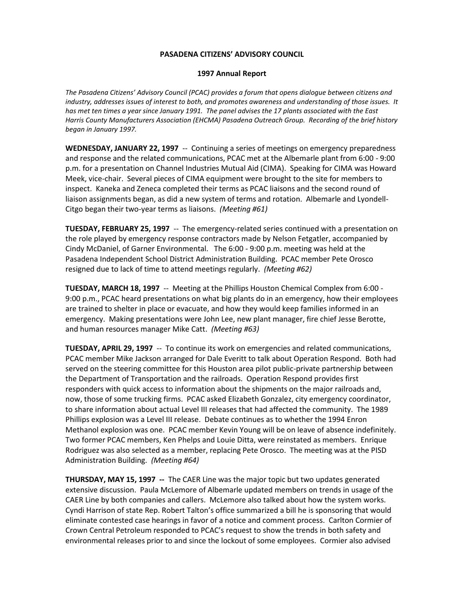### **1997 Annual Report**

*The Pasadena Citizens' Advisory Council (PCAC) provides a forum that opens dialogue between citizens and industry, addresses issues of interest to both, and promotes awareness and understanding of those issues. It has met ten times a year since January 1991. The panel advises the 17 plants associated with the East Harris County Manufacturers Association (EHCMA) Pasadena Outreach Group. Recording of the brief history began in January 1997.*

**WEDNESDAY, JANUARY 22, 1997** -- Continuing a series of meetings on emergency preparedness and response and the related communications, PCAC met at the Albemarle plant from 6:00 - 9:00 p.m. for a presentation on Channel Industries Mutual Aid (CIMA). Speaking for CIMA was Howard Meek, vice-chair. Several pieces of CIMA equipment were brought to the site for members to inspect. Kaneka and Zeneca completed their terms as PCAC liaisons and the second round of liaison assignments began, as did a new system of terms and rotation. Albemarle and Lyondell-Citgo began their two-year terms as liaisons. *(Meeting #61)*

**TUESDAY, FEBRUARY 25, 1997** -- The emergency-related series continued with a presentation on the role played by emergency response contractors made by Nelson Fetgatler, accompanied by Cindy McDaniel, of Garner Environmental. The 6:00 - 9:00 p.m. meeting was held at the Pasadena Independent School District Administration Building. PCAC member Pete Orosco resigned due to lack of time to attend meetings regularly. *(Meeting #62)*

**TUESDAY, MARCH 18, 1997** -- Meeting at the Phillips Houston Chemical Complex from 6:00 - 9:00 p.m., PCAC heard presentations on what big plants do in an emergency, how their employees are trained to shelter in place or evacuate, and how they would keep families informed in an emergency. Making presentations were John Lee, new plant manager, fire chief Jesse Berotte, and human resources manager Mike Catt. *(Meeting #63)*

**TUESDAY, APRIL 29, 1997** -- To continue its work on emergencies and related communications, PCAC member Mike Jackson arranged for Dale Everitt to talk about Operation Respond. Both had served on the steering committee for this Houston area pilot public-private partnership between the Department of Transportation and the railroads. Operation Respond provides first responders with quick access to information about the shipments on the major railroads and, now, those of some trucking firms. PCAC asked Elizabeth Gonzalez, city emergency coordinator, to share information about actual Level III releases that had affected the community. The 1989 Phillips explosion was a Level III release. Debate continues as to whether the 1994 Enron Methanol explosion was one. PCAC member Kevin Young will be on leave of absence indefinitely. Two former PCAC members, Ken Phelps and Louie Ditta, were reinstated as members. Enrique Rodriguez was also selected as a member, replacing Pete Orosco. The meeting was at the PISD Administration Building. *(Meeting #64)*

**THURSDAY, MAY 15, 1997 --** The CAER Line was the major topic but two updates generated extensive discussion. Paula McLemore of Albemarle updated members on trends in usage of the CAER Line by both companies and callers. McLemore also talked about how the system works. Cyndi Harrison of state Rep. Robert Talton's office summarized a bill he is sponsoring that would eliminate contested case hearings in favor of a notice and comment process. Carlton Cormier of Crown Central Petroleum responded to PCAC's request to show the trends in both safety and environmental releases prior to and since the lockout of some employees. Cormier also advised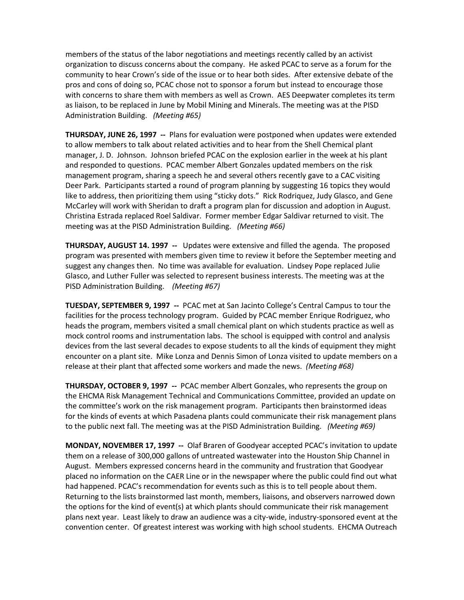members of the status of the labor negotiations and meetings recently called by an activist organization to discuss concerns about the company. He asked PCAC to serve as a forum for the community to hear Crown's side of the issue or to hear both sides. After extensive debate of the pros and cons of doing so, PCAC chose not to sponsor a forum but instead to encourage those with concerns to share them with members as well as Crown. AES Deepwater completes its term as liaison, to be replaced in June by Mobil Mining and Minerals. The meeting was at the PISD Administration Building. *(Meeting #65)*

**THURSDAY, JUNE 26, 1997 --** Plans for evaluation were postponed when updates were extended to allow members to talk about related activities and to hear from the Shell Chemical plant manager, J. D. Johnson. Johnson briefed PCAC on the explosion earlier in the week at his plant and responded to questions. PCAC member Albert Gonzales updated members on the risk management program, sharing a speech he and several others recently gave to a CAC visiting Deer Park. Participants started a round of program planning by suggesting 16 topics they would like to address, then prioritizing them using "sticky dots." Rick Rodriquez, Judy Glasco, and Gene McCarley will work with Sheridan to draft a program plan for discussion and adoption in August. Christina Estrada replaced Roel Saldivar. Former member Edgar Saldivar returned to visit. The meeting was at the PISD Administration Building. *(Meeting #66)*

**THURSDAY, AUGUST 14. 1997 --** Updates were extensive and filled the agenda. The proposed program was presented with members given time to review it before the September meeting and suggest any changes then. No time was available for evaluation. Lindsey Pope replaced Julie Glasco, and Luther Fuller was selected to represent business interests. The meeting was at the PISD Administration Building. *(Meeting #67)*

**TUESDAY, SEPTEMBER 9, 1997 --** PCAC met at San Jacinto College's Central Campus to tour the facilities for the process technology program. Guided by PCAC member Enrique Rodriguez, who heads the program, members visited a small chemical plant on which students practice as well as mock control rooms and instrumentation labs. The school is equipped with control and analysis devices from the last several decades to expose students to all the kinds of equipment they might encounter on a plant site. Mike Lonza and Dennis Simon of Lonza visited to update members on a release at their plant that affected some workers and made the news. *(Meeting #68)*

**THURSDAY, OCTOBER 9, 1997 --** PCAC member Albert Gonzales, who represents the group on the EHCMA Risk Management Technical and Communications Committee, provided an update on the committee's work on the risk management program. Participants then brainstormed ideas for the kinds of events at which Pasadena plants could communicate their risk management plans to the public next fall. The meeting was at the PISD Administration Building. *(Meeting #69)*

**MONDAY, NOVEMBER 17, 1997 --** Olaf Braren of Goodyear accepted PCAC's invitation to update them on a release of 300,000 gallons of untreated wastewater into the Houston Ship Channel in August. Members expressed concerns heard in the community and frustration that Goodyear placed no information on the CAER Line or in the newspaper where the public could find out what had happened. PCAC's recommendation for events such as this is to tell people about them. Returning to the lists brainstormed last month, members, liaisons, and observers narrowed down the options for the kind of event(s) at which plants should communicate their risk management plans next year. Least likely to draw an audience was a city-wide, industry-sponsored event at the convention center. Of greatest interest was working with high school students. EHCMA Outreach